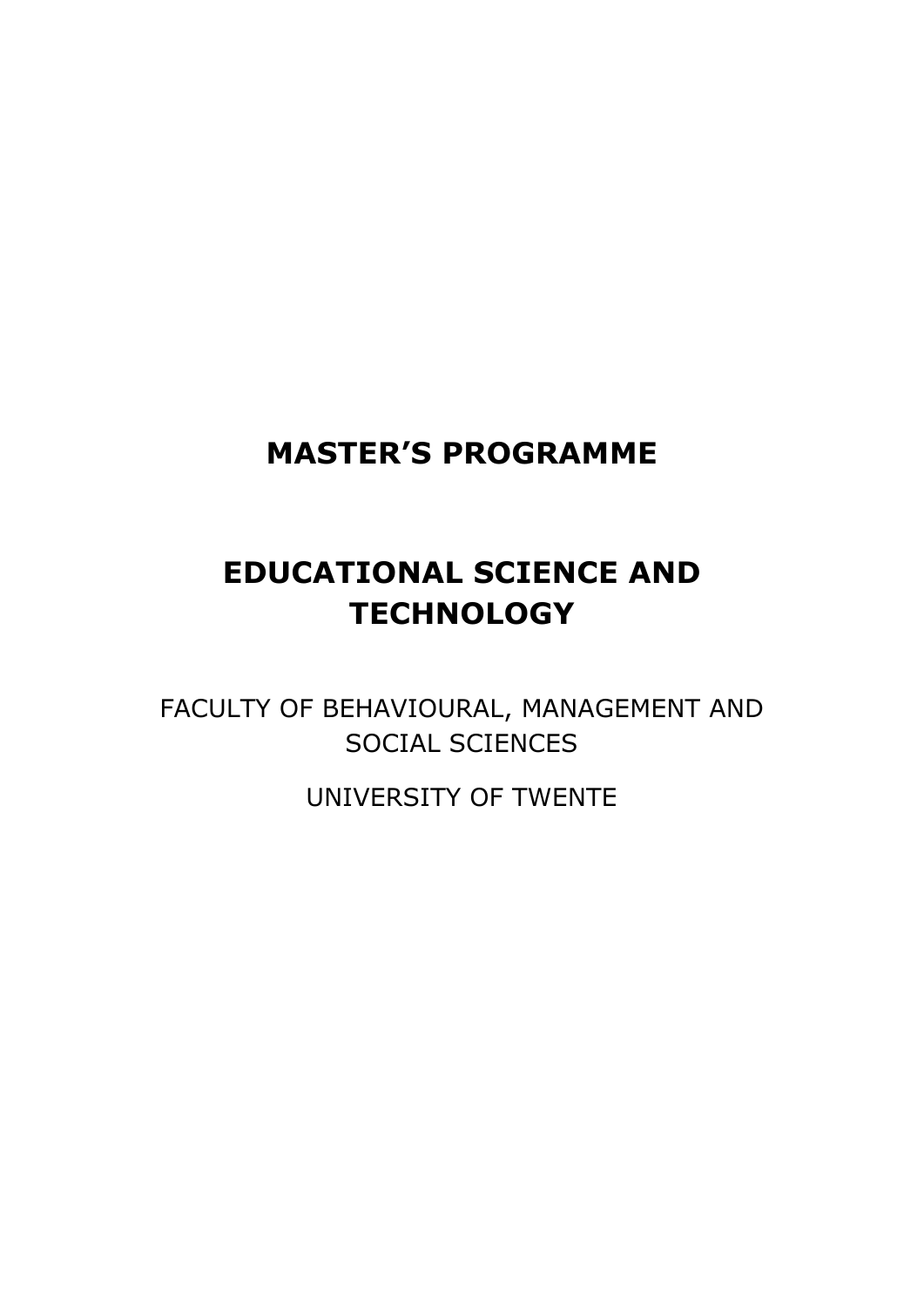# **MASTER'S PROGRAMME**

# **EDUCATIONAL SCIENCE AND TECHNOLOGY**

FACULTY [OF BEHAVIOURAL, MANAGEMENT AND](#page-4-0)  [SOCIAL SCIENCES](#page-4-0)

[UNIVERSITY OF TWENTE](#page-4-1)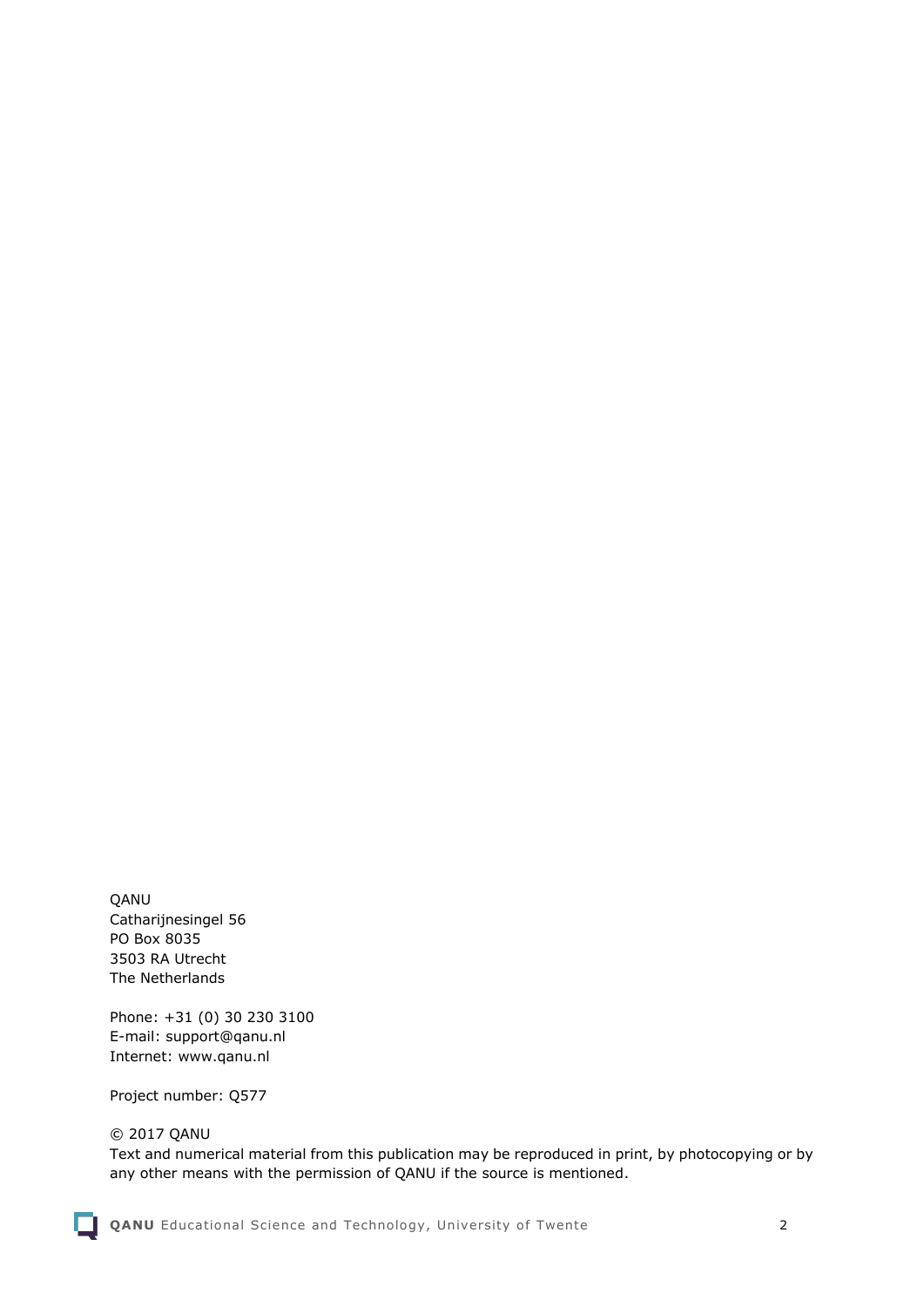QANU Catharijnesingel 56 PO Box 8035 3503 RA Utrecht The Netherlands

Phone: +31 (0) 30 230 3100 E-mail: support@qanu.nl Internet: www.qanu.nl

Project number: Q577

#### © 2017 QANU

Text and numerical material from this publication may be reproduced in print, by photocopying or by any other means with the permission of QANU if the source is mentioned.

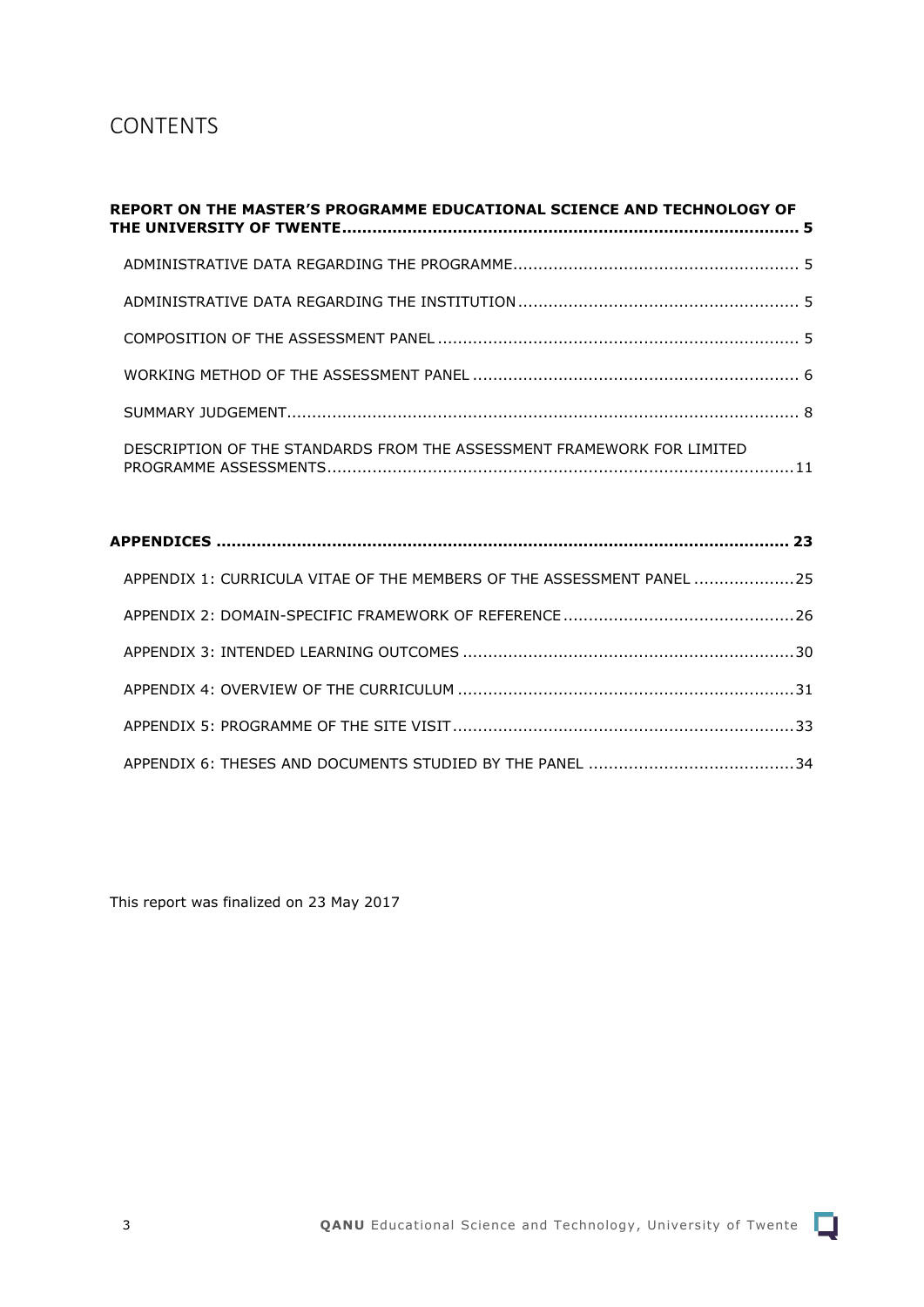### CONTENTS

#### **REPORT ON THE MASTER'S PROGRAMME EDUCATI[ONAL SCIENCE AND TECHNOLOGY OF](#page-4-2)  [THE UNIVERSITY OF TWENTE...........................................................................................](#page-4-2) 5**

| DESCRIPTION OF THE STANDARDS FROM THE ASSESSMENT FRAMEWORK FOR LIMITED |  |
|------------------------------------------------------------------------|--|

| APPENDIX 1: CURRICULA VITAE OF THE MEMBERS OF THE ASSESSMENT PANEL 25 |  |
|-----------------------------------------------------------------------|--|
|                                                                       |  |
|                                                                       |  |
|                                                                       |  |
|                                                                       |  |
|                                                                       |  |

This report was finalized on 23 May 2017

O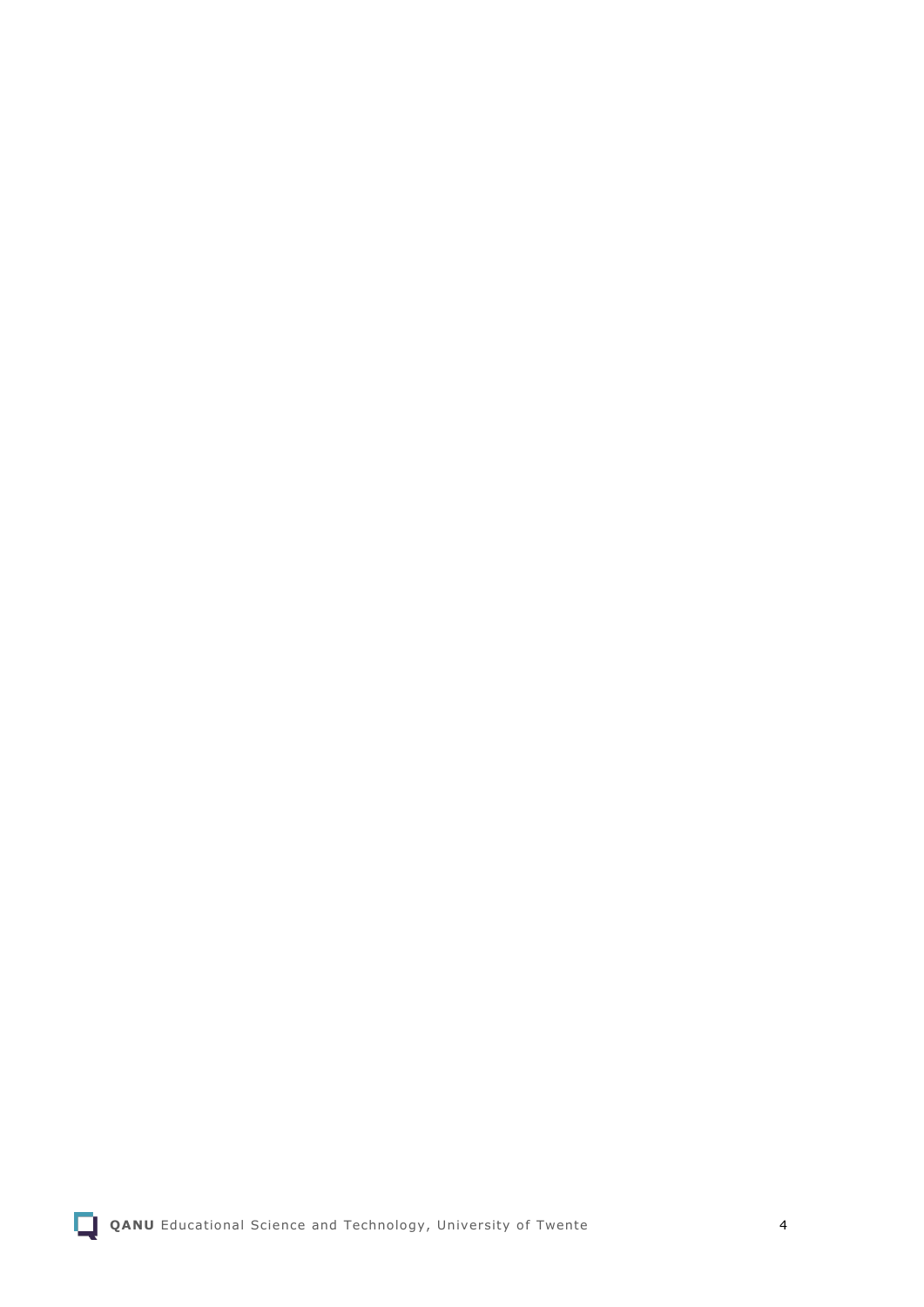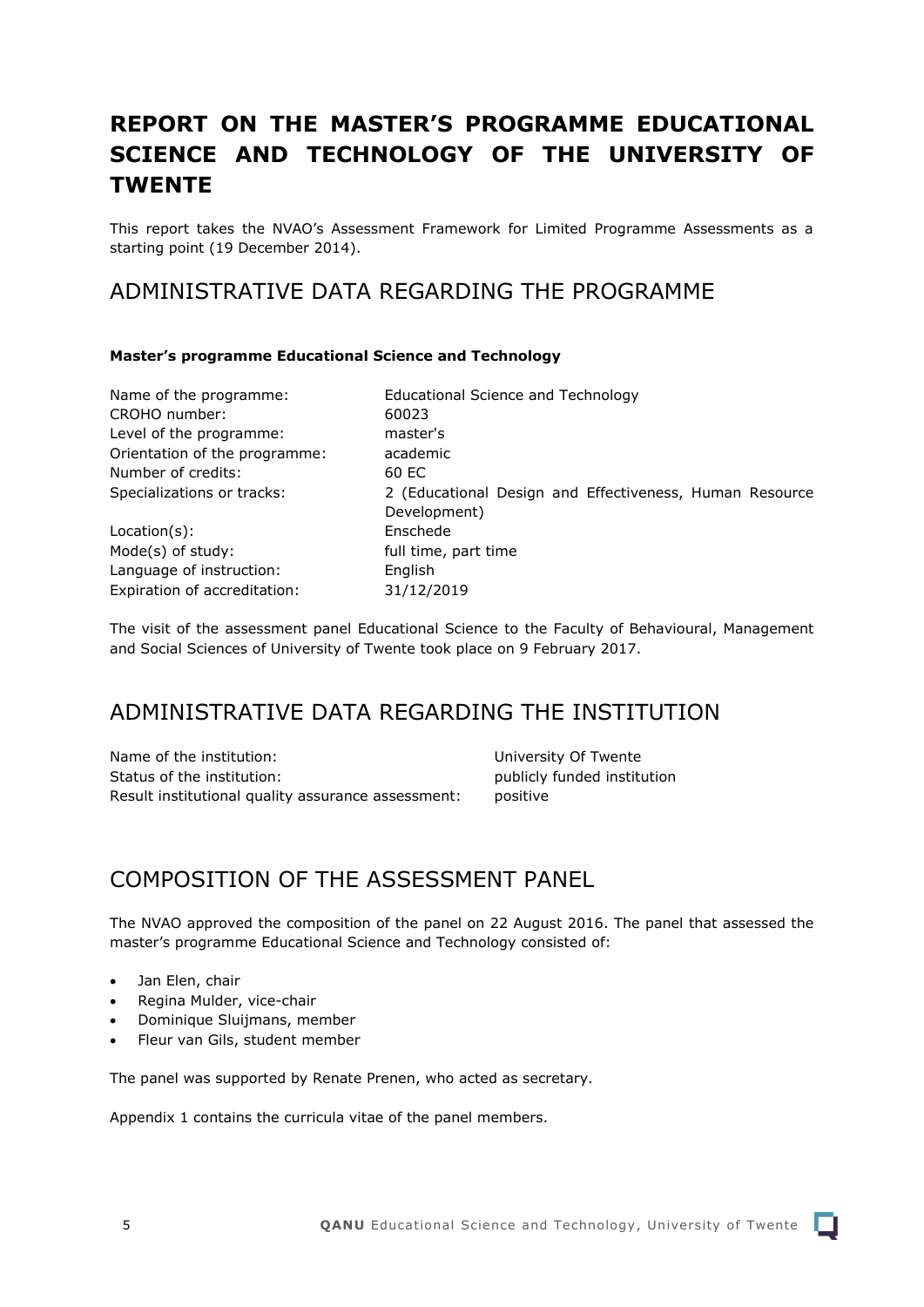# <span id="page-4-2"></span><span id="page-4-1"></span>**REPORT ON THE MASTER'S PROGRAMME EDUCATIONAL SCIENCE AND TECHNOLOGY OF THE UNIVERSITY OF TWENTE**

This report takes the NVAO's Assessment Framework for Limited Programme Assessments as a starting point (19 December 2014).

### <span id="page-4-3"></span>ADMINISTRATIVE DATA REGARDING THE PROGRAMME

#### **Master's programme Educational Science and Technology**

| Name of the programme:        | Educational Science and Technology                      |
|-------------------------------|---------------------------------------------------------|
| CROHO number:                 | 60023                                                   |
| Level of the programme:       | master's                                                |
| Orientation of the programme: | academic                                                |
| Number of credits:            | 60 EC                                                   |
| Specializations or tracks:    | 2 (Educational Design and Effectiveness, Human Resource |
|                               | Development)                                            |
| $Location(s)$ :               | Enschede                                                |
| Mode(s) of study:             | full time, part time                                    |
| Language of instruction:      | English                                                 |
| Expiration of accreditation:  | 31/12/2019                                              |
|                               |                                                         |

The visit of the assessment panel Educational Science to the Faculty of Behavioural, Management and Social Sciences of University of Twente took place on 9 February 2017.

### <span id="page-4-4"></span>ADMINISTRATIVE DATA REGARDING THE INSTITUTION

Name of the institution: University Of Twente Status of the institution: example in the institution of the institution: Result institutional quality assurance assessment: positive

<span id="page-4-0"></span>

## <span id="page-4-5"></span>COMPOSITION OF THE ASSESSMENT PANEL

The NVAO approved the composition of the panel on 22 August 2016. The panel that assessed the master's programme Educational Science and Technology consisted of:

- Jan Elen, chair
- Regina Mulder, vice-chair
- Dominique Sluijmans, member
- Fleur van Gils, student member

The panel was supported by Renate Prenen, who acted as secretary.

Appendix 1 contains the curricula vitae of the panel members.

H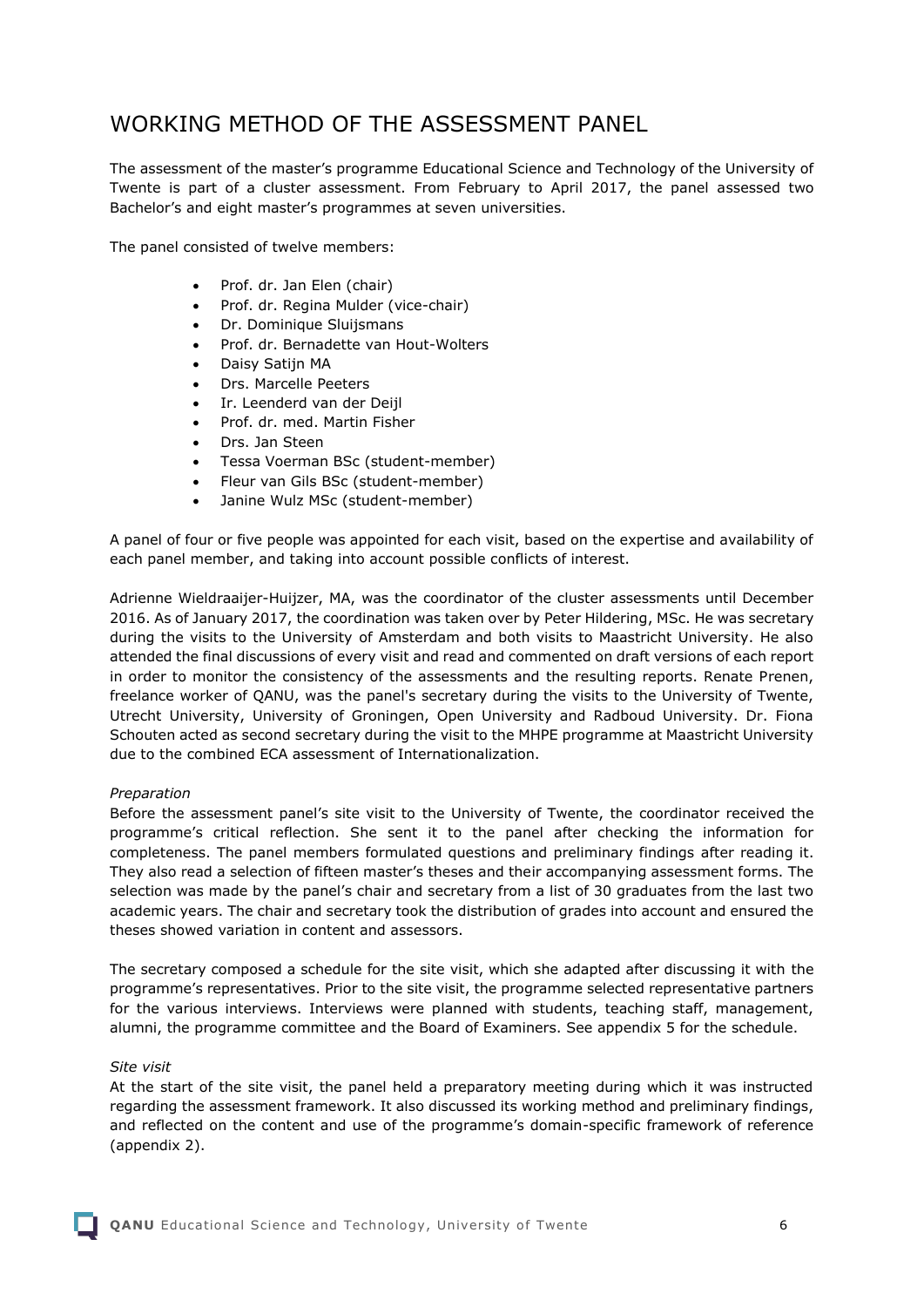### <span id="page-5-0"></span>WORKING METHOD OF THE ASSESSMENT PANEL

The assessment of the master's programme Educational Science and Technology of the University of Twente is part of a cluster assessment. From February to April 2017, the panel assessed two Bachelor's and eight master's programmes at seven universities.

The panel consisted of twelve members:

- Prof. dr. Jan Elen (chair)
- Prof. dr. Regina Mulder (vice-chair)
- Dr. Dominique Sluijsmans
- Prof. dr. Bernadette van Hout-Wolters
- Daisy Satiin MA
- Drs. Marcelle Peeters
- Ir. Leenderd van der Deijl
- Prof. dr. med. Martin Fisher
- Drs. Jan Steen
- Tessa Voerman BSc (student-member)
- Fleur van Gils BSc (student-member)
- Janine Wulz MSc (student-member)

A panel of four or five people was appointed for each visit, based on the expertise and availability of each panel member, and taking into account possible conflicts of interest.

Adrienne Wieldraaijer-Huijzer, MA, was the coordinator of the cluster assessments until December 2016. As of January 2017, the coordination was taken over by Peter Hildering, MSc. He was secretary during the visits to the University of Amsterdam and both visits to Maastricht University. He also attended the final discussions of every visit and read and commented on draft versions of each report in order to monitor the consistency of the assessments and the resulting reports. Renate Prenen, freelance worker of QANU, was the panel's secretary during the visits to the University of Twente, Utrecht University, University of Groningen, Open University and Radboud University. Dr. Fiona Schouten acted as second secretary during the visit to the MHPE programme at Maastricht University due to the combined ECA assessment of Internationalization.

#### *Preparation*

Before the assessment panel's site visit to the University of Twente, the coordinator received the programme's critical reflection. She sent it to the panel after checking the information for completeness. The panel members formulated questions and preliminary findings after reading it. They also read a selection of fifteen master's theses and their accompanying assessment forms. The selection was made by the panel's chair and secretary from a list of 30 graduates from the last two academic years. The chair and secretary took the distribution of grades into account and ensured the theses showed variation in content and assessors.

The secretary composed a schedule for the site visit, which she adapted after discussing it with the programme's representatives. Prior to the site visit, the programme selected representative partners for the various interviews. Interviews were planned with students, teaching staff, management, alumni, the programme committee and the Board of Examiners. See appendix 5 for the schedule.

#### *Site visit*

At the start of the site visit, the panel held a preparatory meeting during which it was instructed regarding the assessment framework. It also discussed its working method and preliminary findings, and reflected on the content and use of the programme's domain-specific framework of reference (appendix 2).

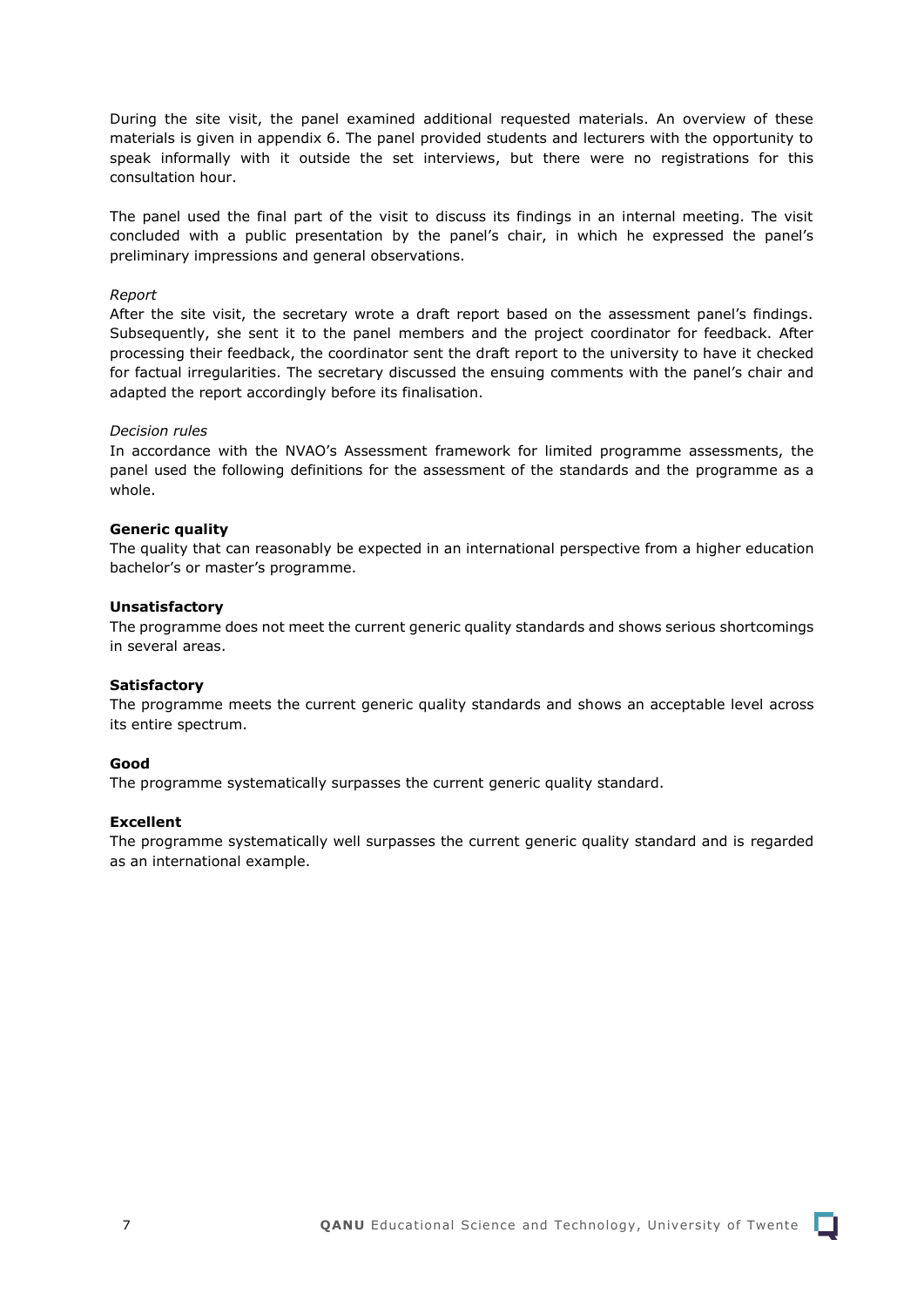During the site visit, the panel examined additional requested materials. An overview of these materials is given in appendix 6. The panel provided students and lecturers with the opportunity to speak informally with it outside the set interviews, but there were no registrations for this consultation hour.

The panel used the final part of the visit to discuss its findings in an internal meeting. The visit concluded with a public presentation by the panel's chair, in which he expressed the panel's preliminary impressions and general observations.

#### *Report*

After the site visit, the secretary wrote a draft report based on the assessment panel's findings. Subsequently, she sent it to the panel members and the project coordinator for feedback. After processing their feedback, the coordinator sent the draft report to the university to have it checked for factual irregularities. The secretary discussed the ensuing comments with the panel's chair and adapted the report accordingly before its finalisation.

#### *Decision rules*

In accordance with the NVAO's Assessment framework for limited programme assessments, the panel used the following definitions for the assessment of the standards and the programme as a whole.

#### **Generic quality**

The quality that can reasonably be expected in an international perspective from a higher education bachelor's or master's programme.

#### **Unsatisfactory**

The programme does not meet the current generic quality standards and shows serious shortcomings in several areas.

#### **Satisfactory**

The programme meets the current generic quality standards and shows an acceptable level across its entire spectrum.

#### **Good**

The programme systematically surpasses the current generic quality standard.

#### **Excellent**

The programme systematically well surpasses the current generic quality standard and is regarded as an international example.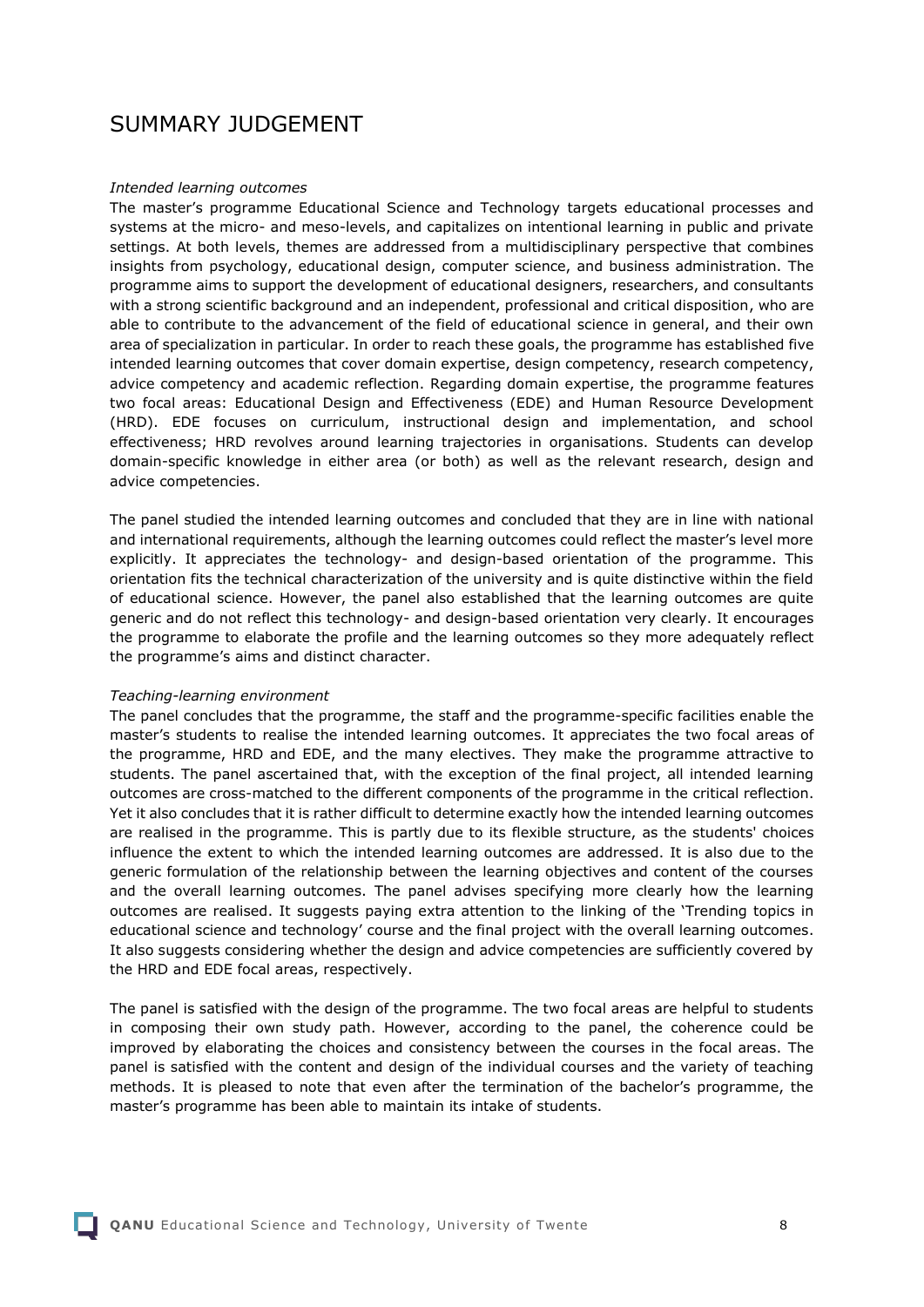### <span id="page-7-0"></span>SUMMARY JUDGEMENT

#### *Intended learning outcomes*

The master's programme Educational Science and Technology targets educational processes and systems at the micro- and meso-levels, and capitalizes on intentional learning in public and private settings. At both levels, themes are addressed from a multidisciplinary perspective that combines insights from psychology, educational design, computer science, and business administration. The programme aims to support the development of educational designers, researchers, and consultants with a strong scientific background and an independent, professional and critical disposition, who are able to contribute to the advancement of the field of educational science in general, and their own area of specialization in particular. In order to reach these goals, the programme has established five intended learning outcomes that cover domain expertise, design competency, research competency, advice competency and academic reflection. Regarding domain expertise, the programme features two focal areas: Educational Design and Effectiveness (EDE) and Human Resource Development (HRD). EDE focuses on curriculum, instructional design and implementation, and school effectiveness; HRD revolves around learning trajectories in organisations. Students can develop domain-specific knowledge in either area (or both) as well as the relevant research, design and advice competencies.

The panel studied the intended learning outcomes and concluded that they are in line with national and international requirements, although the learning outcomes could reflect the master's level more explicitly. It appreciates the technology- and design-based orientation of the programme. This orientation fits the technical characterization of the university and is quite distinctive within the field of educational science. However, the panel also established that the learning outcomes are quite generic and do not reflect this technology- and design-based orientation very clearly. It encourages the programme to elaborate the profile and the learning outcomes so they more adequately reflect the programme's aims and distinct character.

#### *Teaching-learning environment*

The panel concludes that the programme, the staff and the programme-specific facilities enable the master's students to realise the intended learning outcomes. It appreciates the two focal areas of the programme, HRD and EDE, and the many electives. They make the programme attractive to students. The panel ascertained that, with the exception of the final project, all intended learning outcomes are cross-matched to the different components of the programme in the critical reflection. Yet it also concludes that it is rather difficult to determine exactly how the intended learning outcomes are realised in the programme. This is partly due to its flexible structure, as the students' choices influence the extent to which the intended learning outcomes are addressed. It is also due to the generic formulation of the relationship between the learning objectives and content of the courses and the overall learning outcomes. The panel advises specifying more clearly how the learning outcomes are realised. It suggests paying extra attention to the linking of the 'Trending topics in educational science and technology' course and the final project with the overall learning outcomes. It also suggests considering whether the design and advice competencies are sufficiently covered by the HRD and EDE focal areas, respectively.

The panel is satisfied with the design of the programme. The two focal areas are helpful to students in composing their own study path. However, according to the panel, the coherence could be improved by elaborating the choices and consistency between the courses in the focal areas. The panel is satisfied with the content and design of the individual courses and the variety of teaching methods. It is pleased to note that even after the termination of the bachelor's programme, the master's programme has been able to maintain its intake of students.

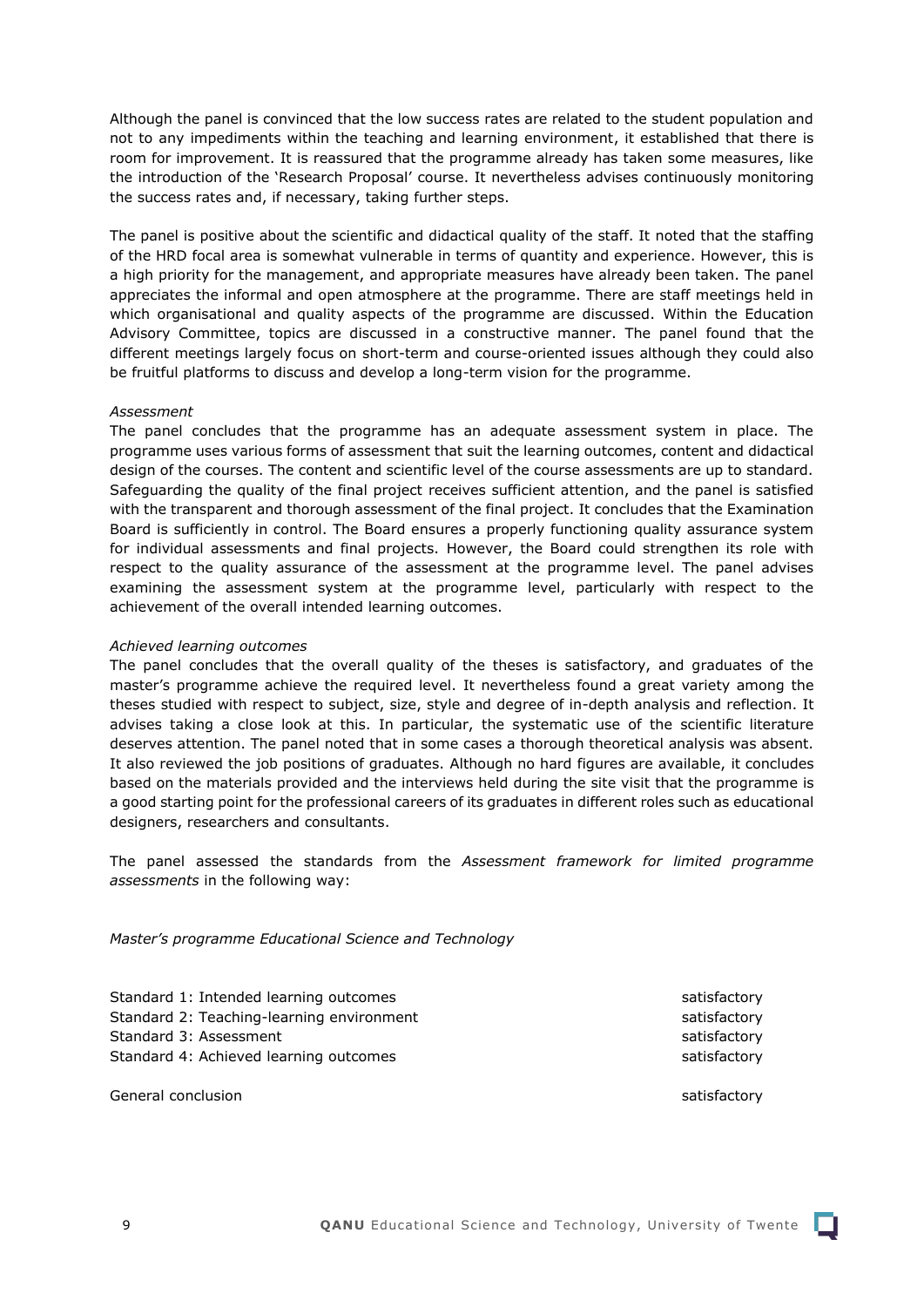Although the panel is convinced that the low success rates are related to the student population and not to any impediments within the teaching and learning environment, it established that there is room for improvement. It is reassured that the programme already has taken some measures, like the introduction of the 'Research Proposal' course. It nevertheless advises continuously monitoring the success rates and, if necessary, taking further steps.

The panel is positive about the scientific and didactical quality of the staff. It noted that the staffing of the HRD focal area is somewhat vulnerable in terms of quantity and experience. However, this is a high priority for the management, and appropriate measures have already been taken. The panel appreciates the informal and open atmosphere at the programme. There are staff meetings held in which organisational and quality aspects of the programme are discussed. Within the Education Advisory Committee, topics are discussed in a constructive manner. The panel found that the different meetings largely focus on short-term and course-oriented issues although they could also be fruitful platforms to discuss and develop a long-term vision for the programme.

#### *Assessment*

The panel concludes that the programme has an adequate assessment system in place. The programme uses various forms of assessment that suit the learning outcomes, content and didactical design of the courses. The content and scientific level of the course assessments are up to standard. Safeguarding the quality of the final project receives sufficient attention, and the panel is satisfied with the transparent and thorough assessment of the final project. It concludes that the Examination Board is sufficiently in control. The Board ensures a properly functioning quality assurance system for individual assessments and final projects. However, the Board could strengthen its role with respect to the quality assurance of the assessment at the programme level. The panel advises examining the assessment system at the programme level, particularly with respect to the achievement of the overall intended learning outcomes.

#### *Achieved learning outcomes*

The panel concludes that the overall quality of the theses is satisfactory, and graduates of the master's programme achieve the required level. It nevertheless found a great variety among the theses studied with respect to subject, size, style and degree of in-depth analysis and reflection. It advises taking a close look at this. In particular, the systematic use of the scientific literature deserves attention. The panel noted that in some cases a thorough theoretical analysis was absent. It also reviewed the job positions of graduates. Although no hard figures are available, it concludes based on the materials provided and the interviews held during the site visit that the programme is a good starting point for the professional careers of its graduates in different roles such as educational designers, researchers and consultants.

The panel assessed the standards from the *Assessment framework for limited programme assessments* in the following way:

*Master's programme Educational Science and Technology*

Standard 1: Intended learning outcomes satisfactory satisfactory Standard 2: Teaching-learning environment statisfactory satisfactory Standard 3: Assessment satisfactory satisfactory Standard 4: Achieved learning outcomes satisfactory satisfactory

General conclusion satisfactory satisfactory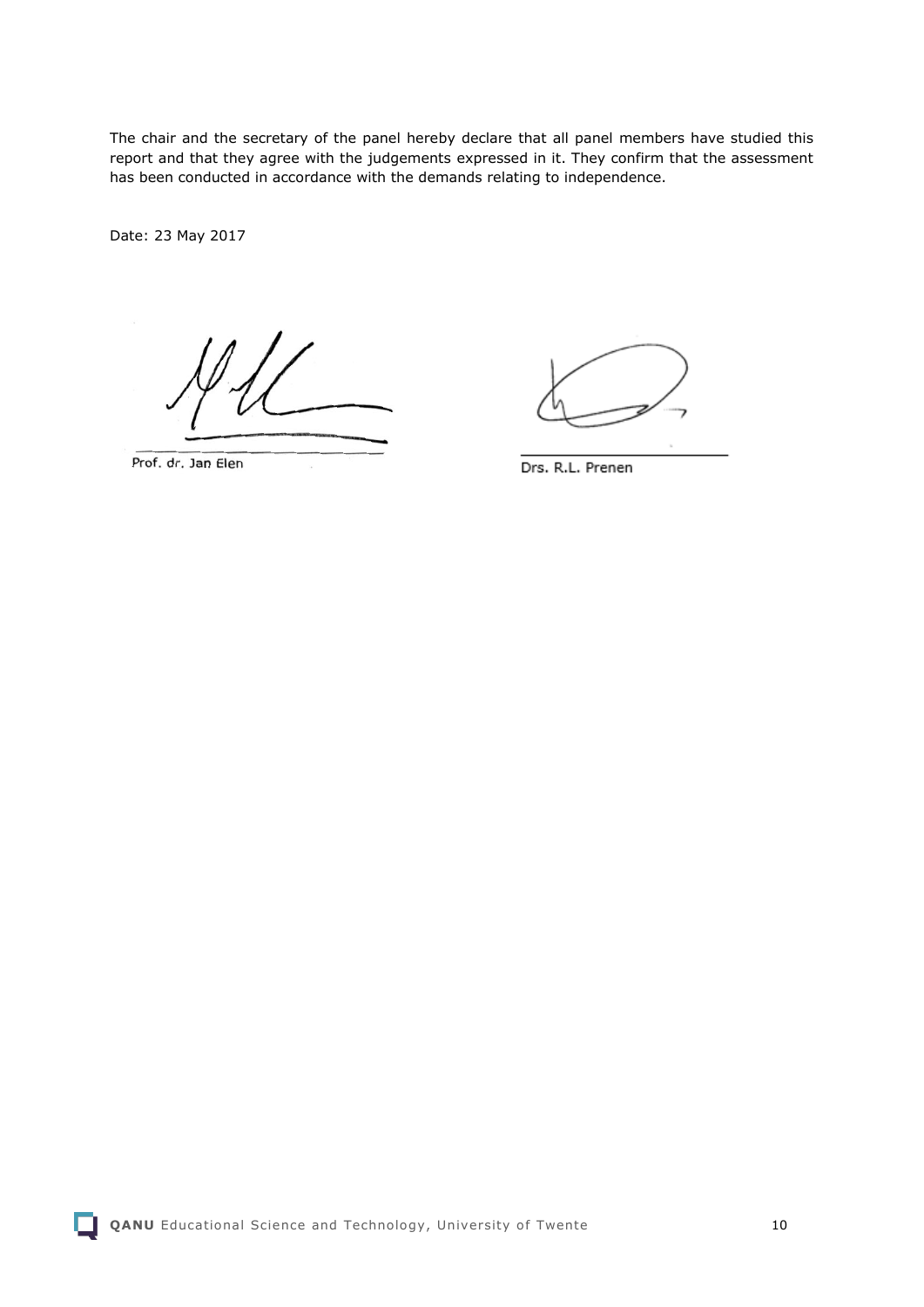The chair and the secretary of the panel hereby declare that all panel members have studied this report and that they agree with the judgements expressed in it. They confirm that the assessment has been conducted in accordance with the demands relating to independence.

Date: 23 May 2017

Prof. dr. Jan Elen

Drs. R.L. Prenen

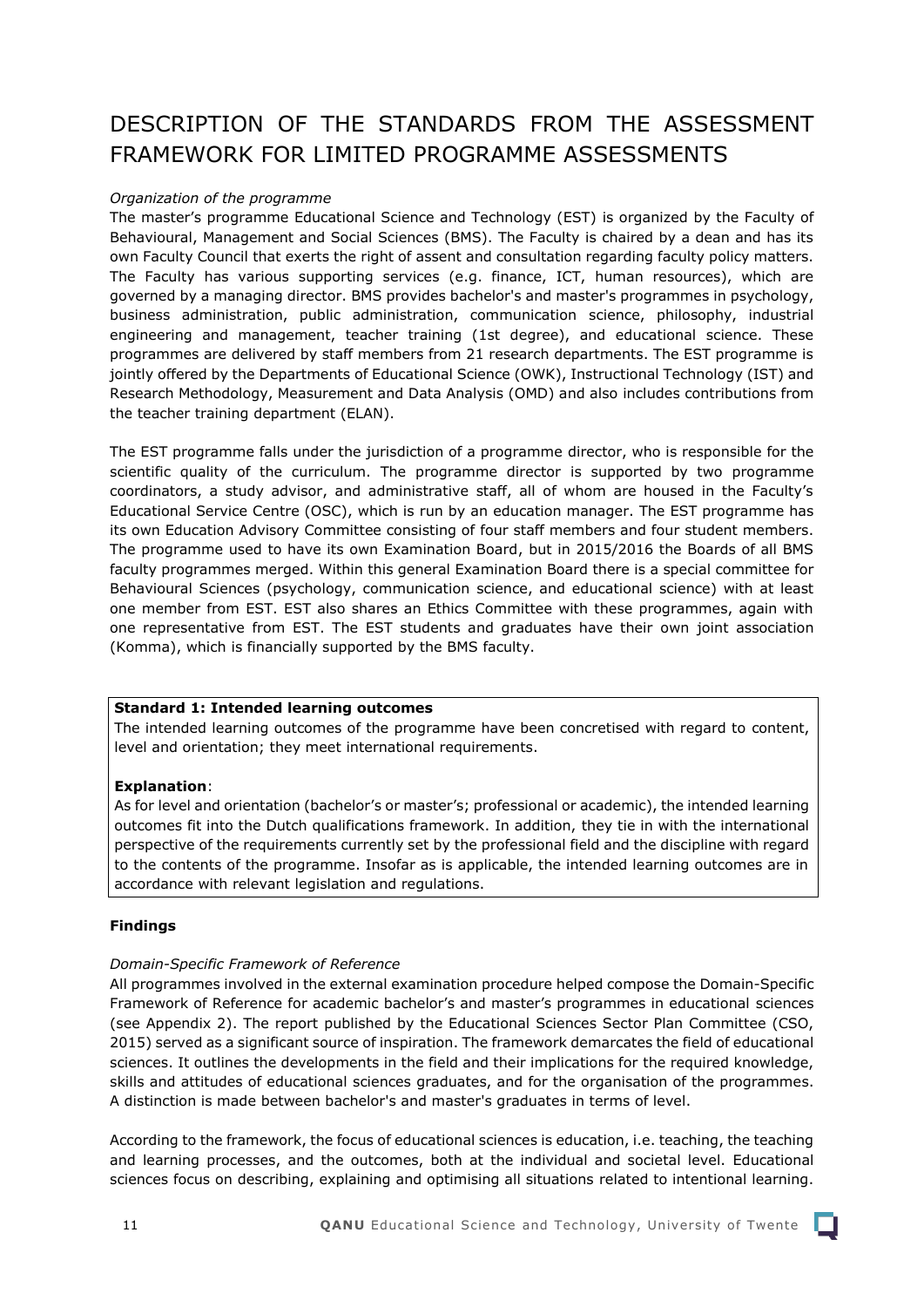## <span id="page-10-0"></span>DESCRIPTION OF THE STANDARDS FROM THE ASSESSMENT FRAMEWORK FOR LIMITED PROGRAMME ASSESSMENTS

#### *Organization of the programme*

The master's programme Educational Science and Technology (EST) is organized by the Faculty of Behavioural, Management and Social Sciences (BMS). The Faculty is chaired by a dean and has its own Faculty Council that exerts the right of assent and consultation regarding faculty policy matters. The Faculty has various supporting services (e.g. finance, ICT, human resources), which are governed by a managing director. BMS provides bachelor's and master's programmes in psychology, business administration, public administration, communication science, philosophy, industrial engineering and management, teacher training (1st degree), and educational science. These programmes are delivered by staff members from 21 research departments. The EST programme is jointly offered by the Departments of Educational Science (OWK), Instructional Technology (IST) and Research Methodology, Measurement and Data Analysis (OMD) and also includes contributions from the teacher training department (ELAN).

The EST programme falls under the jurisdiction of a programme director, who is responsible for the scientific quality of the curriculum. The programme director is supported by two programme coordinators, a study advisor, and administrative staff, all of whom are housed in the Faculty's Educational Service Centre (OSC), which is run by an education manager. The EST programme has its own Education Advisory Committee consisting of four staff members and four student members. The programme used to have its own Examination Board, but in 2015/2016 the Boards of all BMS faculty programmes merged. Within this general Examination Board there is a special committee for Behavioural Sciences (psychology, communication science, and educational science) with at least one member from EST. EST also shares an Ethics Committee with these programmes, again with one representative from EST. The EST students and graduates have their own joint association (Komma), which is financially supported by the BMS faculty.

#### **Standard 1: Intended learning outcomes**

The intended learning outcomes of the programme have been concretised with regard to content, level and orientation; they meet international requirements.

#### **Explanation**:

As for level and orientation (bachelor's or master's; professional or academic), the intended learning outcomes fit into the Dutch qualifications framework. In addition, they tie in with the international perspective of the requirements currently set by the professional field and the discipline with regard to the contents of the programme. Insofar as is applicable, the intended learning outcomes are in accordance with relevant legislation and regulations.

#### **Findings**

#### *Domain-Specific Framework of Reference*

All programmes involved in the external examination procedure helped compose the Domain-Specific Framework of Reference for academic bachelor's and master's programmes in educational sciences (see Appendix 2). The report published by the Educational Sciences Sector Plan Committee (CSO, 2015) served as a significant source of inspiration. The framework demarcates the field of educational sciences. It outlines the developments in the field and their implications for the required knowledge, skills and attitudes of educational sciences graduates, and for the organisation of the programmes. A distinction is made between bachelor's and master's graduates in terms of level.

According to the framework, the focus of educational sciences is education, i.e. teaching, the teaching and learning processes, and the outcomes, both at the individual and societal level. Educational sciences focus on describing, explaining and optimising all situations related to intentional learning.

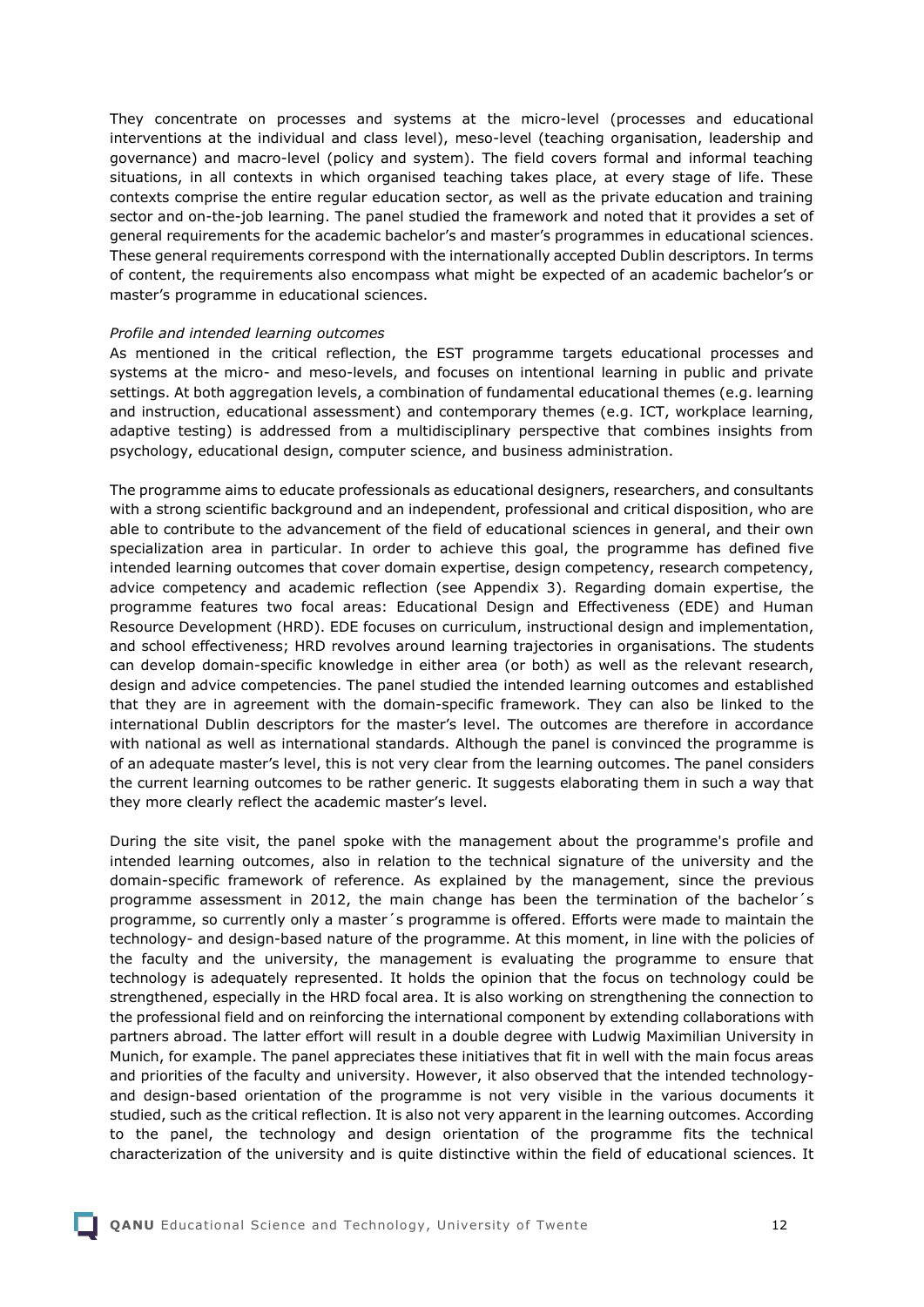They concentrate on processes and systems at the micro-level (processes and educational interventions at the individual and class level), meso-level (teaching organisation, leadership and governance) and macro-level (policy and system). The field covers formal and informal teaching situations, in all contexts in which organised teaching takes place, at every stage of life. These contexts comprise the entire regular education sector, as well as the private education and training sector and on-the-job learning. The panel studied the framework and noted that it provides a set of general requirements for the academic bachelor's and master's programmes in educational sciences. These general requirements correspond with the internationally accepted Dublin descriptors. In terms of content, the requirements also encompass what might be expected of an academic bachelor's or master's programme in educational sciences.

#### *Profile and intended learning outcomes*

As mentioned in the critical reflection, the EST programme targets educational processes and systems at the micro- and meso-levels, and focuses on intentional learning in public and private settings. At both aggregation levels, a combination of fundamental educational themes (e.g. learning and instruction, educational assessment) and contemporary themes (e.g. ICT, workplace learning, adaptive testing) is addressed from a multidisciplinary perspective that combines insights from psychology, educational design, computer science, and business administration.

The programme aims to educate professionals as educational designers, researchers, and consultants with a strong scientific background and an independent, professional and critical disposition, who are able to contribute to the advancement of the field of educational sciences in general, and their own specialization area in particular. In order to achieve this goal, the programme has defined five intended learning outcomes that cover domain expertise, design competency, research competency, advice competency and academic reflection (see Appendix 3). Regarding domain expertise, the programme features two focal areas: Educational Design and Effectiveness (EDE) and Human Resource Development (HRD). EDE focuses on curriculum, instructional design and implementation, and school effectiveness; HRD revolves around learning trajectories in organisations. The students can develop domain-specific knowledge in either area (or both) as well as the relevant research, design and advice competencies. The panel studied the intended learning outcomes and established that they are in agreement with the domain-specific framework. They can also be linked to the international Dublin descriptors for the master's level. The outcomes are therefore in accordance with national as well as international standards. Although the panel is convinced the programme is of an adequate master's level, this is not very clear from the learning outcomes. The panel considers the current learning outcomes to be rather generic. It suggests elaborating them in such a way that they more clearly reflect the academic master's level.

During the site visit, the panel spoke with the management about the programme's profile and intended learning outcomes, also in relation to the technical signature of the university and the domain-specific framework of reference. As explained by the management, since the previous programme assessment in 2012, the main change has been the termination of the bachelor´s programme, so currently only a master´s programme is offered. Efforts were made to maintain the technology- and design-based nature of the programme. At this moment, in line with the policies of the faculty and the university, the management is evaluating the programme to ensure that technology is adequately represented. It holds the opinion that the focus on technology could be strengthened, especially in the HRD focal area. It is also working on strengthening the connection to the professional field and on reinforcing the international component by extending collaborations with partners abroad. The latter effort will result in a double degree with Ludwig Maximilian University in Munich, for example. The panel appreciates these initiatives that fit in well with the main focus areas and priorities of the faculty and university. However, it also observed that the intended technologyand design-based orientation of the programme is not very visible in the various documents it studied, such as the critical reflection. It is also not very apparent in the learning outcomes. According to the panel, the technology and design orientation of the programme fits the technical characterization of the university and is quite distinctive within the field of educational sciences. It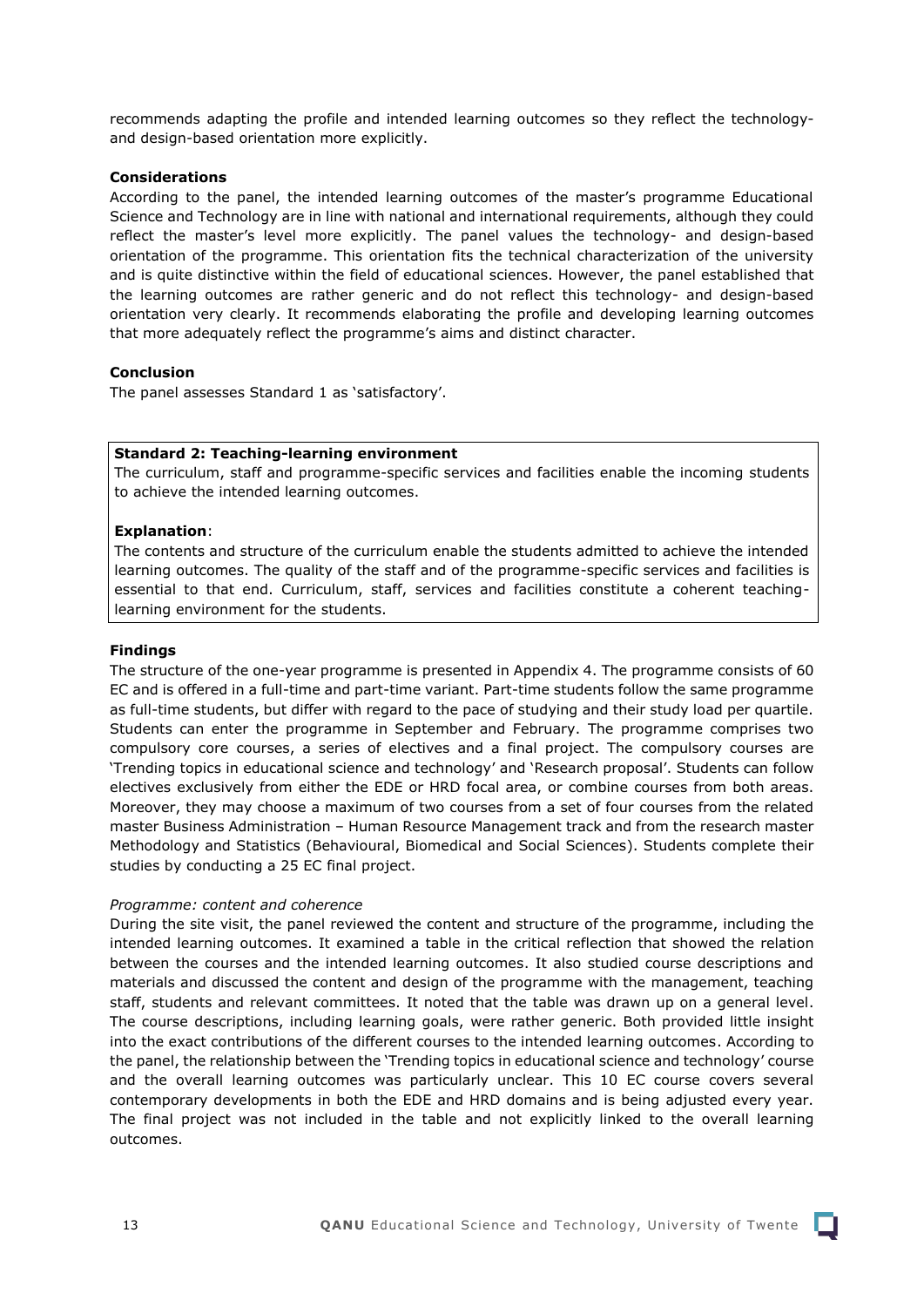recommends adapting the profile and intended learning outcomes so they reflect the technologyand design-based orientation more explicitly.

#### **Considerations**

According to the panel, the intended learning outcomes of the master's programme Educational Science and Technology are in line with national and international requirements, although they could reflect the master's level more explicitly. The panel values the technology- and design-based orientation of the programme. This orientation fits the technical characterization of the university and is quite distinctive within the field of educational sciences. However, the panel established that the learning outcomes are rather generic and do not reflect this technology- and design-based orientation very clearly. It recommends elaborating the profile and developing learning outcomes that more adequately reflect the programme's aims and distinct character.

#### **Conclusion**

The panel assesses Standard 1 as 'satisfactory'.

#### **Standard 2: Teaching-learning environment**

The curriculum, staff and programme-specific services and facilities enable the incoming students to achieve the intended learning outcomes.

#### **Explanation**:

The contents and structure of the curriculum enable the students admitted to achieve the intended learning outcomes. The quality of the staff and of the programme-specific services and facilities is essential to that end. Curriculum, staff, services and facilities constitute a coherent teachinglearning environment for the students.

#### **Findings**

The structure of the one-year programme is presented in Appendix 4. The programme consists of 60 EC and is offered in a full-time and part-time variant. Part-time students follow the same programme as full-time students, but differ with regard to the pace of studying and their study load per quartile. Students can enter the programme in September and February. The programme comprises two compulsory core courses, a series of electives and a final project. The compulsory courses are 'Trending topics in educational science and technology' and 'Research proposal'. Students can follow electives exclusively from either the EDE or HRD focal area, or combine courses from both areas. Moreover, they may choose a maximum of two courses from a set of four courses from the related master Business Administration – Human Resource Management track and from the research master Methodology and Statistics (Behavioural, Biomedical and Social Sciences). Students complete their studies by conducting a 25 EC final project.

#### *Programme: content and coherence*

During the site visit, the panel reviewed the content and structure of the programme, including the intended learning outcomes. It examined a table in the critical reflection that showed the relation between the courses and the intended learning outcomes. It also studied course descriptions and materials and discussed the content and design of the programme with the management, teaching staff, students and relevant committees. It noted that the table was drawn up on a general level. The course descriptions, including learning goals, were rather generic. Both provided little insight into the exact contributions of the different courses to the intended learning outcomes. According to the panel, the relationship between the 'Trending topics in educational science and technology' course and the overall learning outcomes was particularly unclear. This 10 EC course covers several contemporary developments in both the EDE and HRD domains and is being adjusted every year. The final project was not included in the table and not explicitly linked to the overall learning outcomes.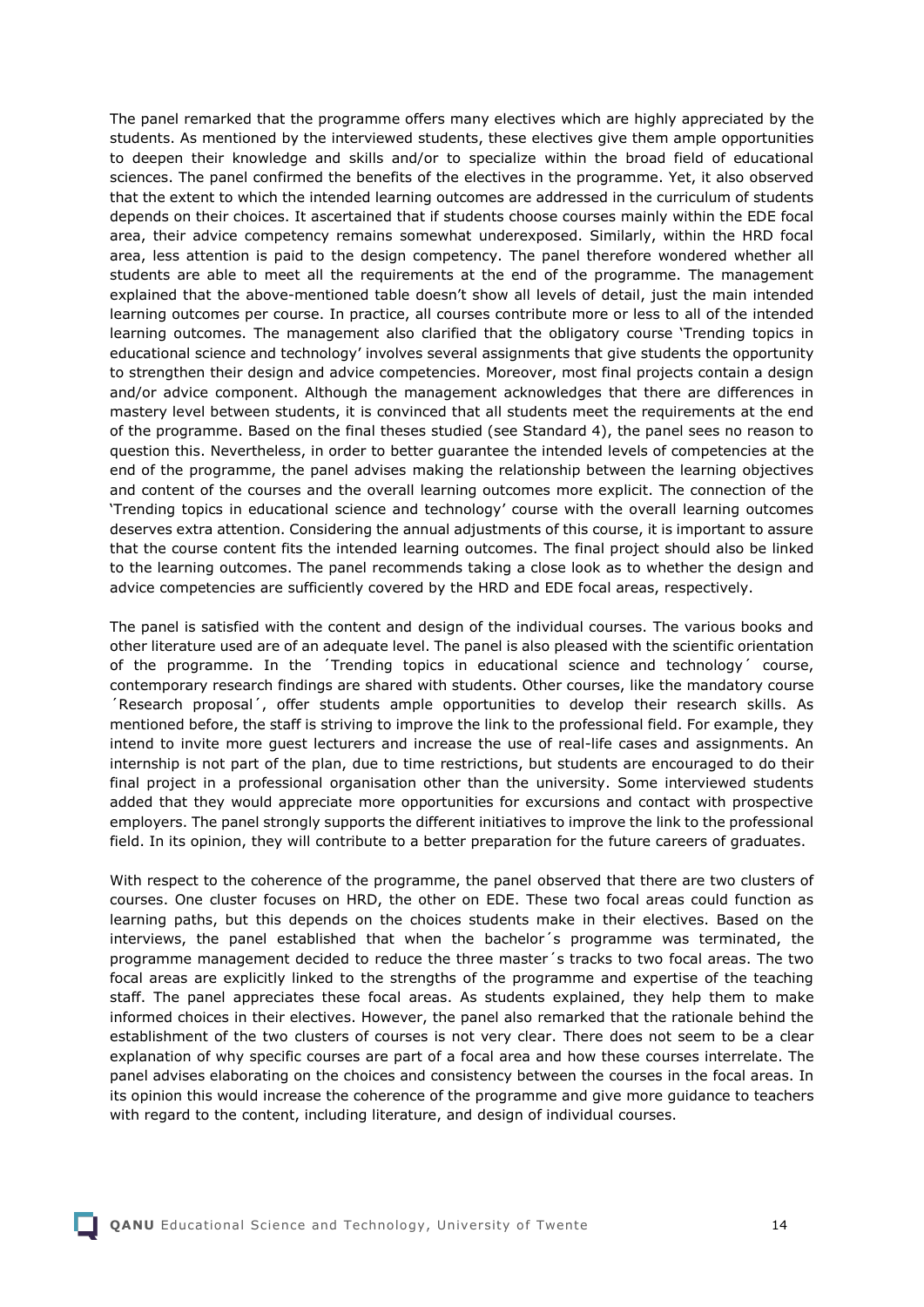The panel remarked that the programme offers many electives which are highly appreciated by the students. As mentioned by the interviewed students, these electives give them ample opportunities to deepen their knowledge and skills and/or to specialize within the broad field of educational sciences. The panel confirmed the benefits of the electives in the programme. Yet, it also observed that the extent to which the intended learning outcomes are addressed in the curriculum of students depends on their choices. It ascertained that if students choose courses mainly within the EDE focal area, their advice competency remains somewhat underexposed. Similarly, within the HRD focal area, less attention is paid to the design competency. The panel therefore wondered whether all students are able to meet all the requirements at the end of the programme. The management explained that the above-mentioned table doesn't show all levels of detail, just the main intended learning outcomes per course. In practice, all courses contribute more or less to all of the intended learning outcomes. The management also clarified that the obligatory course 'Trending topics in educational science and technology' involves several assignments that give students the opportunity to strengthen their design and advice competencies. Moreover, most final projects contain a design and/or advice component. Although the management acknowledges that there are differences in mastery level between students, it is convinced that all students meet the requirements at the end of the programme. Based on the final theses studied (see Standard 4), the panel sees no reason to question this. Nevertheless, in order to better guarantee the intended levels of competencies at the end of the programme, the panel advises making the relationship between the learning objectives and content of the courses and the overall learning outcomes more explicit. The connection of the 'Trending topics in educational science and technology' course with the overall learning outcomes deserves extra attention. Considering the annual adjustments of this course, it is important to assure that the course content fits the intended learning outcomes. The final project should also be linked to the learning outcomes. The panel recommends taking a close look as to whether the design and advice competencies are sufficiently covered by the HRD and EDE focal areas, respectively.

The panel is satisfied with the content and design of the individual courses. The various books and other literature used are of an adequate level. The panel is also pleased with the scientific orientation of the programme. In the ´Trending topics in educational science and technology´ course, contemporary research findings are shared with students. Other courses, like the mandatory course ´Research proposal´, offer students ample opportunities to develop their research skills. As mentioned before, the staff is striving to improve the link to the professional field. For example, they intend to invite more guest lecturers and increase the use of real-life cases and assignments. An internship is not part of the plan, due to time restrictions, but students are encouraged to do their final project in a professional organisation other than the university. Some interviewed students added that they would appreciate more opportunities for excursions and contact with prospective employers. The panel strongly supports the different initiatives to improve the link to the professional field. In its opinion, they will contribute to a better preparation for the future careers of graduates.

With respect to the coherence of the programme, the panel observed that there are two clusters of courses. One cluster focuses on HRD, the other on EDE. These two focal areas could function as learning paths, but this depends on the choices students make in their electives. Based on the interviews, the panel established that when the bachelor´s programme was terminated, the programme management decided to reduce the three master´s tracks to two focal areas. The two focal areas are explicitly linked to the strengths of the programme and expertise of the teaching staff. The panel appreciates these focal areas. As students explained, they help them to make informed choices in their electives. However, the panel also remarked that the rationale behind the establishment of the two clusters of courses is not very clear. There does not seem to be a clear explanation of why specific courses are part of a focal area and how these courses interrelate. The panel advises elaborating on the choices and consistency between the courses in the focal areas. In its opinion this would increase the coherence of the programme and give more guidance to teachers with regard to the content, including literature, and design of individual courses.

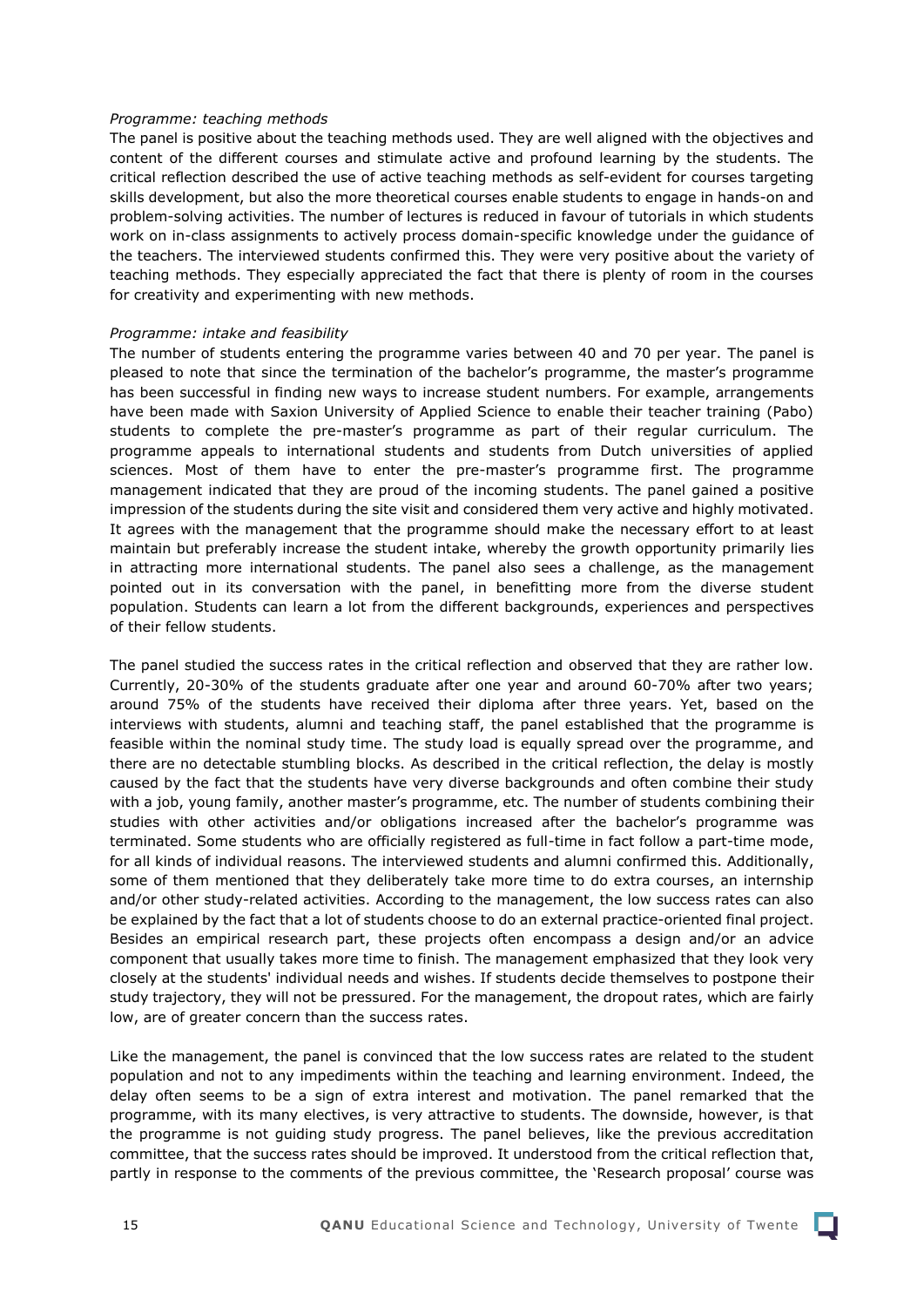#### *Programme: teaching methods*

The panel is positive about the teaching methods used. They are well aligned with the objectives and content of the different courses and stimulate active and profound learning by the students. The critical reflection described the use of active teaching methods as self-evident for courses targeting skills development, but also the more theoretical courses enable students to engage in hands-on and problem-solving activities. The number of lectures is reduced in favour of tutorials in which students work on in-class assignments to actively process domain-specific knowledge under the guidance of the teachers. The interviewed students confirmed this. They were very positive about the variety of teaching methods. They especially appreciated the fact that there is plenty of room in the courses for creativity and experimenting with new methods.

#### *Programme: intake and feasibility*

The number of students entering the programme varies between 40 and 70 per year. The panel is pleased to note that since the termination of the bachelor's programme, the master's programme has been successful in finding new ways to increase student numbers. For example, arrangements have been made with Saxion University of Applied Science to enable their teacher training (Pabo) students to complete the pre-master's programme as part of their regular curriculum. The programme appeals to international students and students from Dutch universities of applied sciences. Most of them have to enter the pre-master's programme first. The programme management indicated that they are proud of the incoming students. The panel gained a positive impression of the students during the site visit and considered them very active and highly motivated. It agrees with the management that the programme should make the necessary effort to at least maintain but preferably increase the student intake, whereby the growth opportunity primarily lies in attracting more international students. The panel also sees a challenge, as the management pointed out in its conversation with the panel, in benefitting more from the diverse student population. Students can learn a lot from the different backgrounds, experiences and perspectives of their fellow students.

The panel studied the success rates in the critical reflection and observed that they are rather low. Currently, 20-30% of the students graduate after one year and around 60-70% after two years; around 75% of the students have received their diploma after three years. Yet, based on the interviews with students, alumni and teaching staff, the panel established that the programme is feasible within the nominal study time. The study load is equally spread over the programme, and there are no detectable stumbling blocks. As described in the critical reflection, the delay is mostly caused by the fact that the students have very diverse backgrounds and often combine their study with a job, young family, another master's programme, etc. The number of students combining their studies with other activities and/or obligations increased after the bachelor's programme was terminated. Some students who are officially registered as full-time in fact follow a part-time mode, for all kinds of individual reasons. The interviewed students and alumni confirmed this. Additionally, some of them mentioned that they deliberately take more time to do extra courses, an internship and/or other study-related activities. According to the management, the low success rates can also be explained by the fact that a lot of students choose to do an external practice-oriented final project. Besides an empirical research part, these projects often encompass a design and/or an advice component that usually takes more time to finish. The management emphasized that they look very closely at the students' individual needs and wishes. If students decide themselves to postpone their study trajectory, they will not be pressured. For the management, the dropout rates, which are fairly low, are of greater concern than the success rates.

Like the management, the panel is convinced that the low success rates are related to the student population and not to any impediments within the teaching and learning environment. Indeed, the delay often seems to be a sign of extra interest and motivation. The panel remarked that the programme, with its many electives, is very attractive to students. The downside, however, is that the programme is not guiding study progress. The panel believes, like the previous accreditation committee, that the success rates should be improved. It understood from the critical reflection that, partly in response to the comments of the previous committee, the 'Research proposal' course was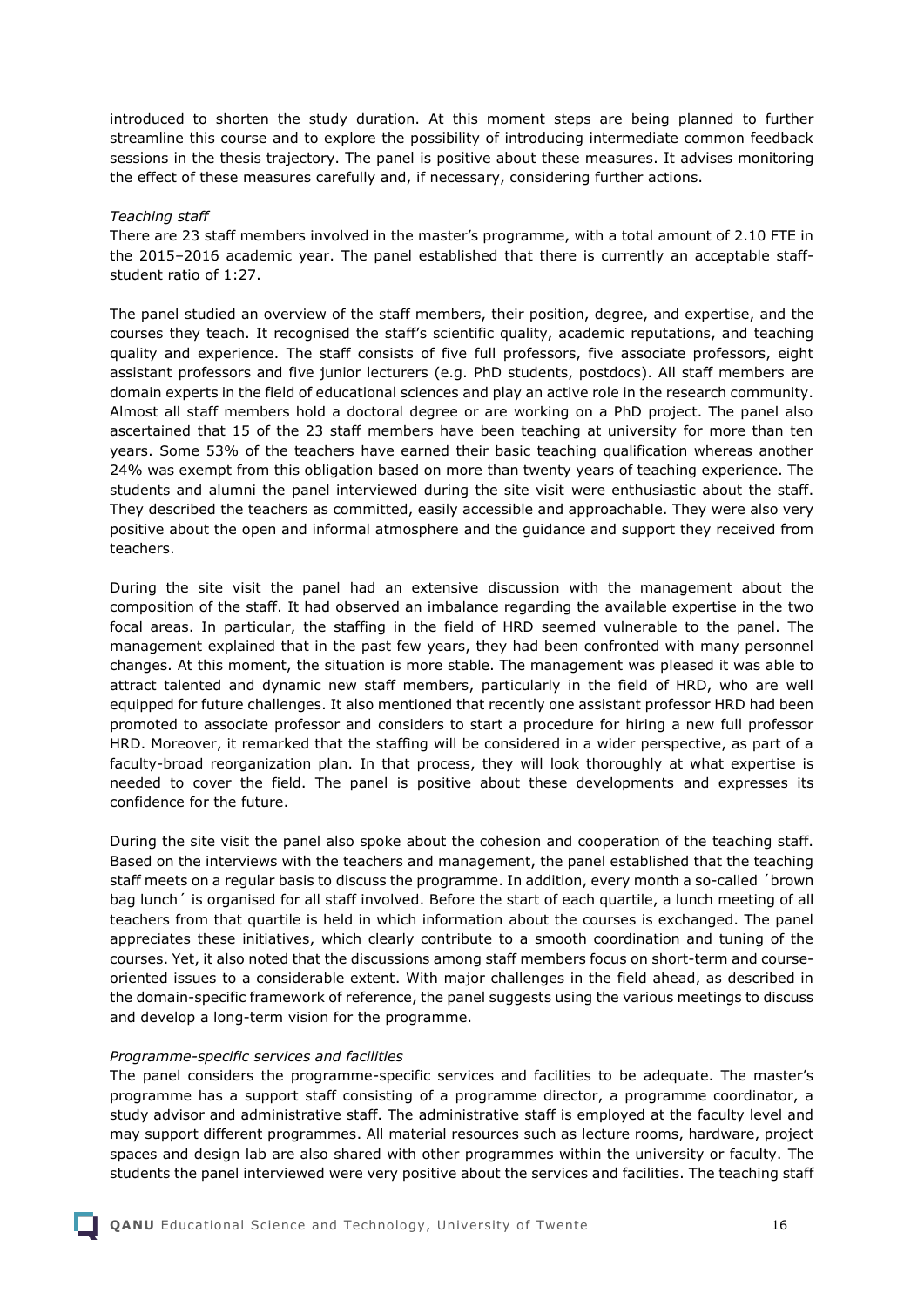introduced to shorten the study duration. At this moment steps are being planned to further streamline this course and to explore the possibility of introducing intermediate common feedback sessions in the thesis trajectory. The panel is positive about these measures. It advises monitoring the effect of these measures carefully and, if necessary, considering further actions.

#### *Teaching staff*

There are 23 staff members involved in the master's programme, with a total amount of 2.10 FTE in the 2015–2016 academic year. The panel established that there is currently an acceptable staffstudent ratio of 1:27.

The panel studied an overview of the staff members, their position, degree, and expertise, and the courses they teach. It recognised the staff's scientific quality, academic reputations, and teaching quality and experience. The staff consists of five full professors, five associate professors, eight assistant professors and five junior lecturers (e.g. PhD students, postdocs). All staff members are domain experts in the field of educational sciences and play an active role in the research community. Almost all staff members hold a doctoral degree or are working on a PhD project. The panel also ascertained that 15 of the 23 staff members have been teaching at university for more than ten years. Some 53% of the teachers have earned their basic teaching qualification whereas another 24% was exempt from this obligation based on more than twenty years of teaching experience. The students and alumni the panel interviewed during the site visit were enthusiastic about the staff. They described the teachers as committed, easily accessible and approachable. They were also very positive about the open and informal atmosphere and the guidance and support they received from teachers.

During the site visit the panel had an extensive discussion with the management about the composition of the staff. It had observed an imbalance regarding the available expertise in the two focal areas. In particular, the staffing in the field of HRD seemed vulnerable to the panel. The management explained that in the past few years, they had been confronted with many personnel changes. At this moment, the situation is more stable. The management was pleased it was able to attract talented and dynamic new staff members, particularly in the field of HRD, who are well equipped for future challenges. It also mentioned that recently one assistant professor HRD had been promoted to associate professor and considers to start a procedure for hiring a new full professor HRD. Moreover, it remarked that the staffing will be considered in a wider perspective, as part of a faculty-broad reorganization plan. In that process, they will look thoroughly at what expertise is needed to cover the field. The panel is positive about these developments and expresses its confidence for the future.

During the site visit the panel also spoke about the cohesion and cooperation of the teaching staff. Based on the interviews with the teachers and management, the panel established that the teaching staff meets on a regular basis to discuss the programme. In addition, every month a so-called ´brown bag lunch´ is organised for all staff involved. Before the start of each quartile, a lunch meeting of all teachers from that quartile is held in which information about the courses is exchanged. The panel appreciates these initiatives, which clearly contribute to a smooth coordination and tuning of the courses. Yet, it also noted that the discussions among staff members focus on short-term and courseoriented issues to a considerable extent. With major challenges in the field ahead, as described in the domain-specific framework of reference, the panel suggests using the various meetings to discuss and develop a long-term vision for the programme.

#### *Programme-specific services and facilities*

The panel considers the programme-specific services and facilities to be adequate. The master's programme has a support staff consisting of a programme director, a programme coordinator, a study advisor and administrative staff. The administrative staff is employed at the faculty level and may support different programmes. All material resources such as lecture rooms, hardware, project spaces and design lab are also shared with other programmes within the university or faculty. The students the panel interviewed were very positive about the services and facilities. The teaching staff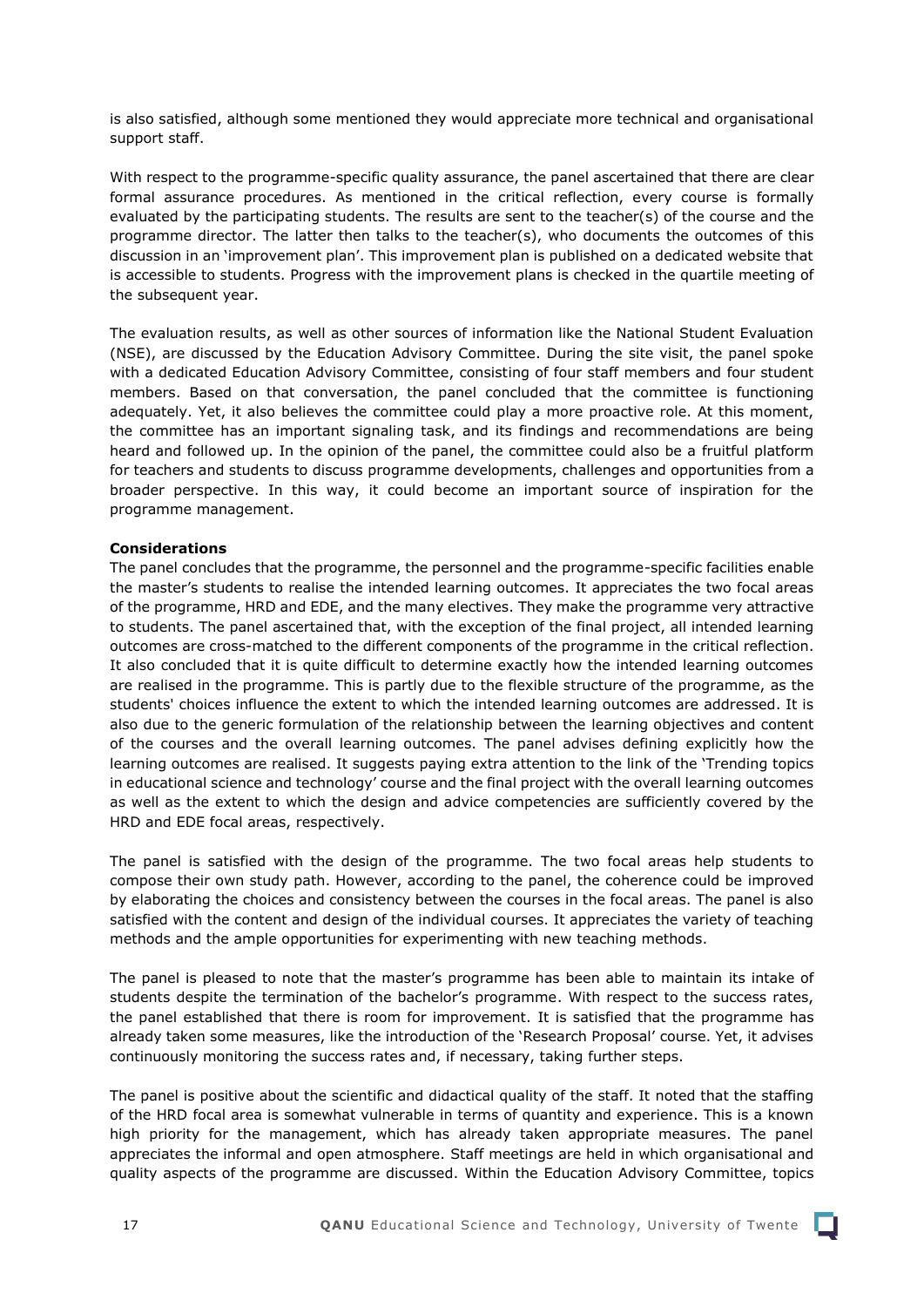is also satisfied, although some mentioned they would appreciate more technical and organisational support staff.

With respect to the programme-specific quality assurance, the panel ascertained that there are clear formal assurance procedures. As mentioned in the critical reflection, every course is formally evaluated by the participating students. The results are sent to the teacher(s) of the course and the programme director. The latter then talks to the teacher(s), who documents the outcomes of this discussion in an 'improvement plan'. This improvement plan is published on a dedicated website that is accessible to students. Progress with the improvement plans is checked in the quartile meeting of the subsequent year.

The evaluation results, as well as other sources of information like the National Student Evaluation (NSE), are discussed by the Education Advisory Committee. During the site visit, the panel spoke with a dedicated Education Advisory Committee, consisting of four staff members and four student members. Based on that conversation, the panel concluded that the committee is functioning adequately. Yet, it also believes the committee could play a more proactive role. At this moment, the committee has an important signaling task, and its findings and recommendations are being heard and followed up. In the opinion of the panel, the committee could also be a fruitful platform for teachers and students to discuss programme developments, challenges and opportunities from a broader perspective. In this way, it could become an important source of inspiration for the programme management.

#### **Considerations**

The panel concludes that the programme, the personnel and the programme-specific facilities enable the master's students to realise the intended learning outcomes. It appreciates the two focal areas of the programme, HRD and EDE, and the many electives. They make the programme very attractive to students. The panel ascertained that, with the exception of the final project, all intended learning outcomes are cross-matched to the different components of the programme in the critical reflection. It also concluded that it is quite difficult to determine exactly how the intended learning outcomes are realised in the programme. This is partly due to the flexible structure of the programme, as the students' choices influence the extent to which the intended learning outcomes are addressed. It is also due to the generic formulation of the relationship between the learning objectives and content of the courses and the overall learning outcomes. The panel advises defining explicitly how the learning outcomes are realised. It suggests paying extra attention to the link of the 'Trending topics in educational science and technology' course and the final project with the overall learning outcomes as well as the extent to which the design and advice competencies are sufficiently covered by the HRD and EDE focal areas, respectively.

The panel is satisfied with the design of the programme. The two focal areas help students to compose their own study path. However, according to the panel, the coherence could be improved by elaborating the choices and consistency between the courses in the focal areas. The panel is also satisfied with the content and design of the individual courses. It appreciates the variety of teaching methods and the ample opportunities for experimenting with new teaching methods.

The panel is pleased to note that the master's programme has been able to maintain its intake of students despite the termination of the bachelor's programme. With respect to the success rates, the panel established that there is room for improvement. It is satisfied that the programme has already taken some measures, like the introduction of the 'Research Proposal' course. Yet, it advises continuously monitoring the success rates and, if necessary, taking further steps.

The panel is positive about the scientific and didactical quality of the staff. It noted that the staffing of the HRD focal area is somewhat vulnerable in terms of quantity and experience. This is a known high priority for the management, which has already taken appropriate measures. The panel appreciates the informal and open atmosphere. Staff meetings are held in which organisational and quality aspects of the programme are discussed. Within the Education Advisory Committee, topics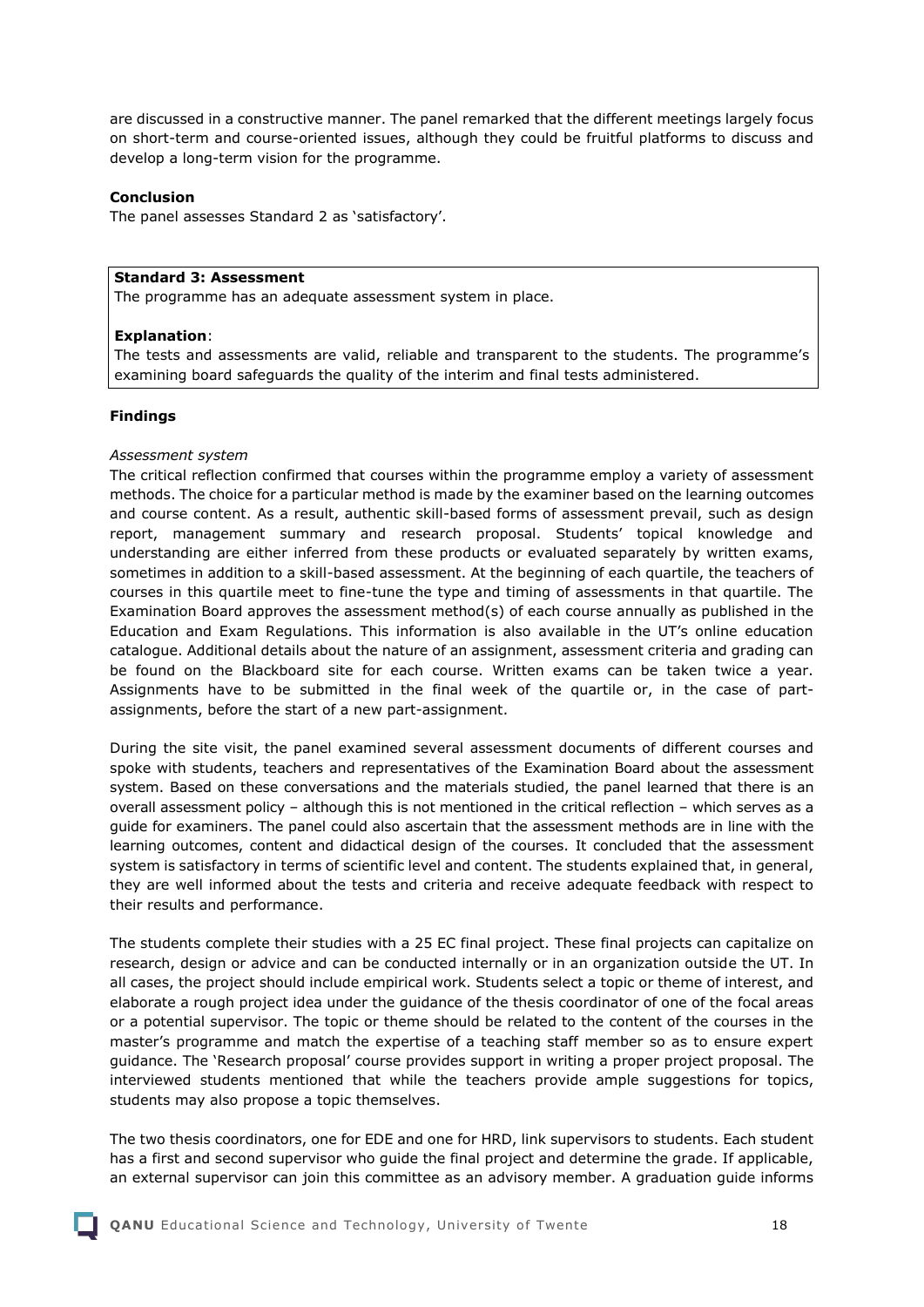are discussed in a constructive manner. The panel remarked that the different meetings largely focus on short-term and course-oriented issues, although they could be fruitful platforms to discuss and develop a long-term vision for the programme.

#### **Conclusion**

The panel assesses Standard 2 as 'satisfactory'.

#### **Standard 3: Assessment**

The programme has an adequate assessment system in place.

#### **Explanation**:

The tests and assessments are valid, reliable and transparent to the students. The programme's examining board safeguards the quality of the interim and final tests administered.

#### **Findings**

#### *Assessment system*

The critical reflection confirmed that courses within the programme employ a variety of assessment methods. The choice for a particular method is made by the examiner based on the learning outcomes and course content. As a result, authentic skill-based forms of assessment prevail, such as design report, management summary and research proposal. Students' topical knowledge and understanding are either inferred from these products or evaluated separately by written exams, sometimes in addition to a skill-based assessment. At the beginning of each quartile, the teachers of courses in this quartile meet to fine-tune the type and timing of assessments in that quartile. The Examination Board approves the assessment method(s) of each course annually as published in the Education and Exam Regulations. This information is also available in the UT's online education catalogue. Additional details about the nature of an assignment, assessment criteria and grading can be found on the Blackboard site for each course. Written exams can be taken twice a year. Assignments have to be submitted in the final week of the quartile or, in the case of partassignments, before the start of a new part-assignment.

During the site visit, the panel examined several assessment documents of different courses and spoke with students, teachers and representatives of the Examination Board about the assessment system. Based on these conversations and the materials studied, the panel learned that there is an overall assessment policy – although this is not mentioned in the critical reflection – which serves as a guide for examiners. The panel could also ascertain that the assessment methods are in line with the learning outcomes, content and didactical design of the courses. It concluded that the assessment system is satisfactory in terms of scientific level and content. The students explained that, in general, they are well informed about the tests and criteria and receive adequate feedback with respect to their results and performance.

The students complete their studies with a 25 EC final project. These final projects can capitalize on research, design or advice and can be conducted internally or in an organization outside the UT. In all cases, the project should include empirical work. Students select a topic or theme of interest, and elaborate a rough project idea under the guidance of the thesis coordinator of one of the focal areas or a potential supervisor. The topic or theme should be related to the content of the courses in the master's programme and match the expertise of a teaching staff member so as to ensure expert guidance. The 'Research proposal' course provides support in writing a proper project proposal. The interviewed students mentioned that while the teachers provide ample suggestions for topics, students may also propose a topic themselves.

The two thesis coordinators, one for EDE and one for HRD, link supervisors to students. Each student has a first and second supervisor who guide the final project and determine the grade. If applicable, an external supervisor can join this committee as an advisory member. A graduation guide informs

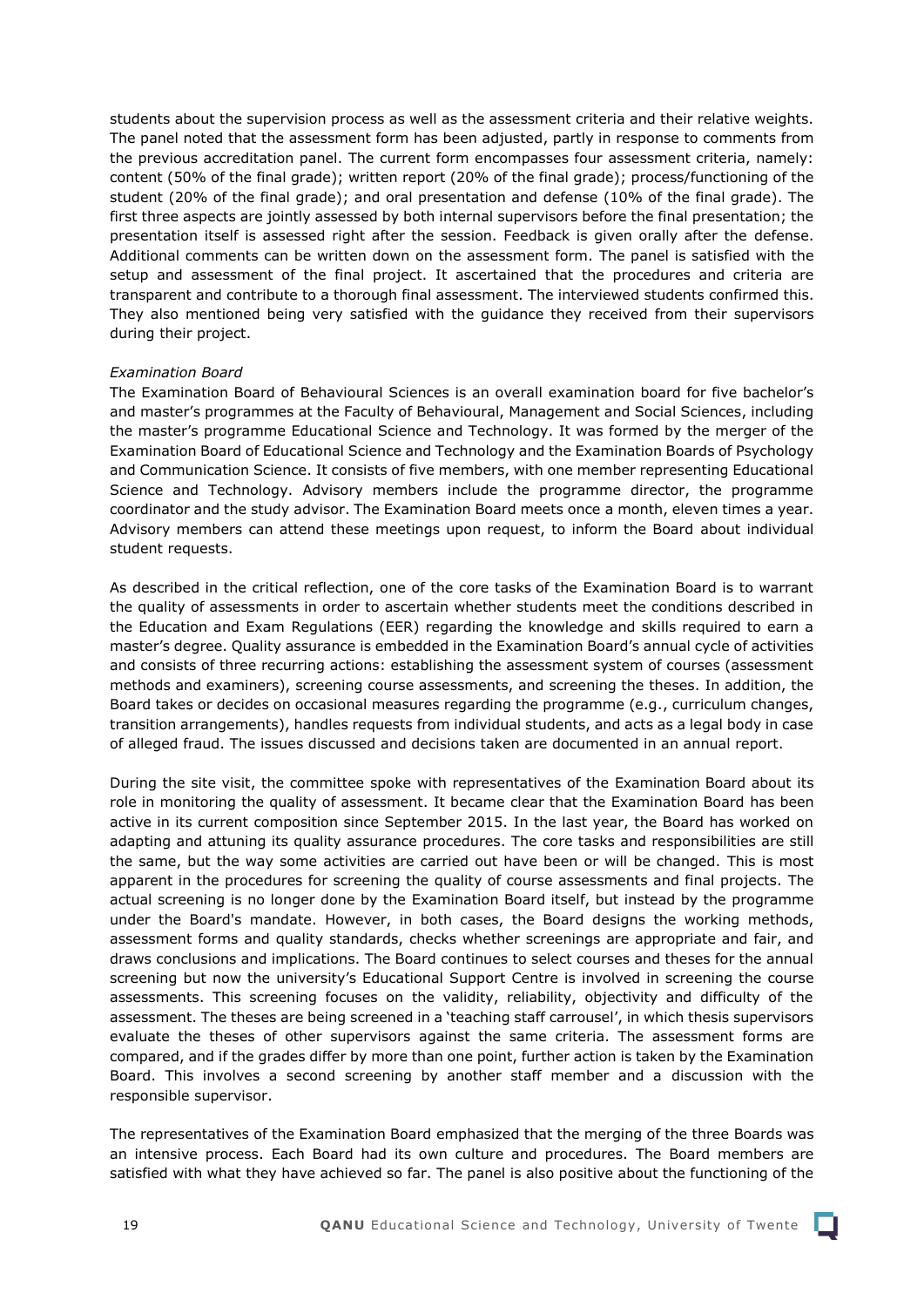students about the supervision process as well as the assessment criteria and their relative weights. The panel noted that the assessment form has been adjusted, partly in response to comments from the previous accreditation panel. The current form encompasses four assessment criteria, namely: content (50% of the final grade); written report (20% of the final grade); process/functioning of the student (20% of the final grade); and oral presentation and defense (10% of the final grade). The first three aspects are jointly assessed by both internal supervisors before the final presentation; the presentation itself is assessed right after the session. Feedback is given orally after the defense. Additional comments can be written down on the assessment form. The panel is satisfied with the setup and assessment of the final project. It ascertained that the procedures and criteria are transparent and contribute to a thorough final assessment. The interviewed students confirmed this. They also mentioned being very satisfied with the guidance they received from their supervisors during their project.

#### *Examination Board*

The Examination Board of Behavioural Sciences is an overall examination board for five bachelor's and master's programmes at the Faculty of Behavioural, Management and Social Sciences, including the master's programme Educational Science and Technology. It was formed by the merger of the Examination Board of Educational Science and Technology and the Examination Boards of Psychology and Communication Science. It consists of five members, with one member representing Educational Science and Technology. Advisory members include the programme director, the programme coordinator and the study advisor. The Examination Board meets once a month, eleven times a year. Advisory members can attend these meetings upon request, to inform the Board about individual student requests.

As described in the critical reflection, one of the core tasks of the Examination Board is to warrant the quality of assessments in order to ascertain whether students meet the conditions described in the Education and Exam Regulations (EER) regarding the knowledge and skills required to earn a master's degree. Quality assurance is embedded in the Examination Board's annual cycle of activities and consists of three recurring actions: establishing the assessment system of courses (assessment methods and examiners), screening course assessments, and screening the theses. In addition, the Board takes or decides on occasional measures regarding the programme (e.g., curriculum changes, transition arrangements), handles requests from individual students, and acts as a legal body in case of alleged fraud. The issues discussed and decisions taken are documented in an annual report.

During the site visit, the committee spoke with representatives of the Examination Board about its role in monitoring the quality of assessment. It became clear that the Examination Board has been active in its current composition since September 2015. In the last year, the Board has worked on adapting and attuning its quality assurance procedures. The core tasks and responsibilities are still the same, but the way some activities are carried out have been or will be changed. This is most apparent in the procedures for screening the quality of course assessments and final projects. The actual screening is no longer done by the Examination Board itself, but instead by the programme under the Board's mandate. However, in both cases, the Board designs the working methods, assessment forms and quality standards, checks whether screenings are appropriate and fair, and draws conclusions and implications. The Board continues to select courses and theses for the annual screening but now the university's Educational Support Centre is involved in screening the course assessments. This screening focuses on the validity, reliability, objectivity and difficulty of the assessment. The theses are being screened in a 'teaching staff carrousel', in which thesis supervisors evaluate the theses of other supervisors against the same criteria. The assessment forms are compared, and if the grades differ by more than one point, further action is taken by the Examination Board. This involves a second screening by another staff member and a discussion with the responsible supervisor.

The representatives of the Examination Board emphasized that the merging of the three Boards was an intensive process. Each Board had its own culture and procedures. The Board members are satisfied with what they have achieved so far. The panel is also positive about the functioning of the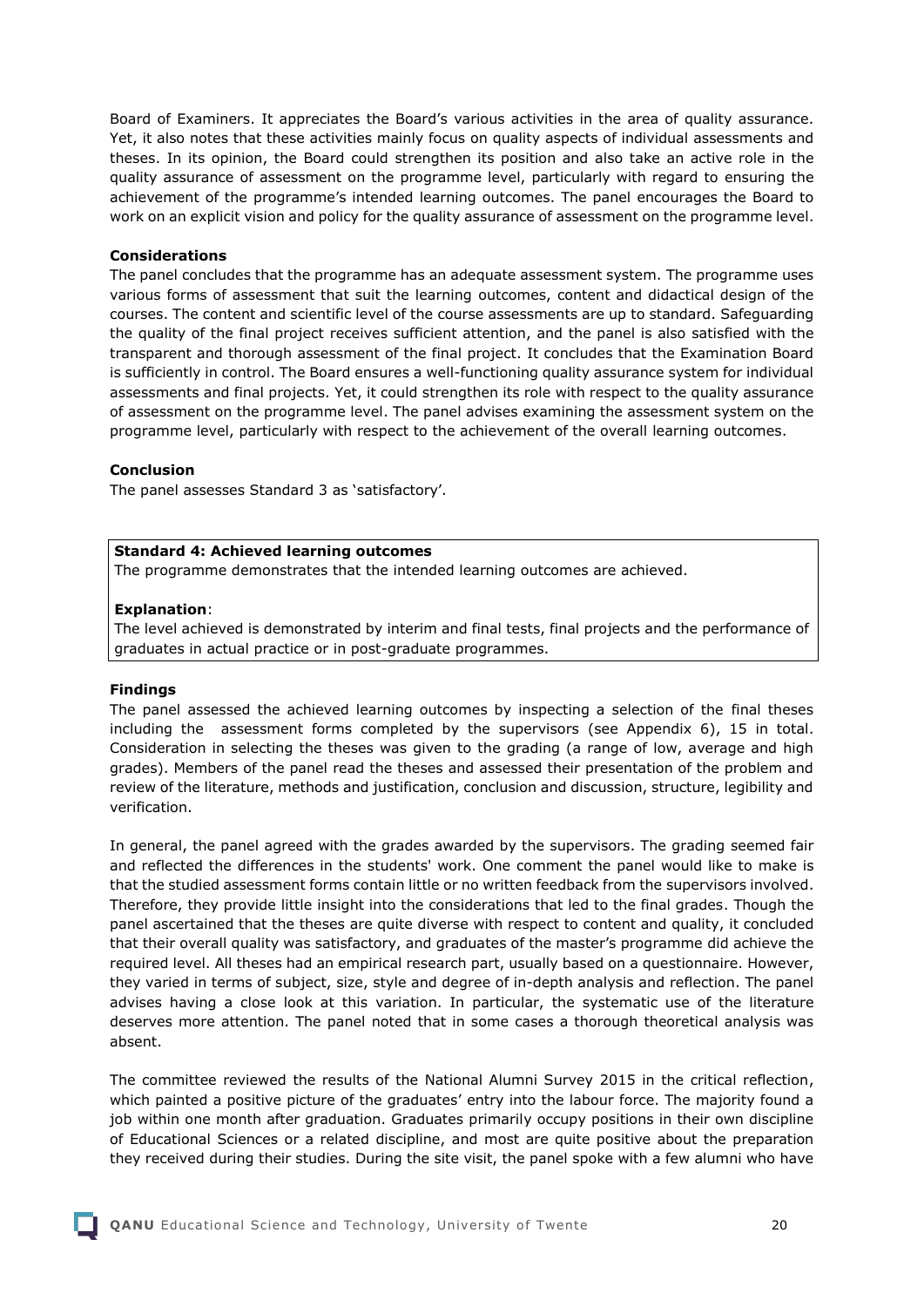Board of Examiners. It appreciates the Board's various activities in the area of quality assurance. Yet, it also notes that these activities mainly focus on quality aspects of individual assessments and theses. In its opinion, the Board could strengthen its position and also take an active role in the quality assurance of assessment on the programme level, particularly with regard to ensuring the achievement of the programme's intended learning outcomes. The panel encourages the Board to work on an explicit vision and policy for the quality assurance of assessment on the programme level.

#### **Considerations**

The panel concludes that the programme has an adequate assessment system. The programme uses various forms of assessment that suit the learning outcomes, content and didactical design of the courses. The content and scientific level of the course assessments are up to standard. Safeguarding the quality of the final project receives sufficient attention, and the panel is also satisfied with the transparent and thorough assessment of the final project. It concludes that the Examination Board is sufficiently in control. The Board ensures a well-functioning quality assurance system for individual assessments and final projects. Yet, it could strengthen its role with respect to the quality assurance of assessment on the programme level. The panel advises examining the assessment system on the programme level, particularly with respect to the achievement of the overall learning outcomes.

#### **Conclusion**

The panel assesses Standard 3 as 'satisfactory'.

#### **Standard 4: Achieved learning outcomes**

The programme demonstrates that the intended learning outcomes are achieved.

#### **Explanation**:

The level achieved is demonstrated by interim and final tests, final projects and the performance of graduates in actual practice or in post-graduate programmes.

#### **Findings**

The panel assessed the achieved learning outcomes by inspecting a selection of the final theses including the assessment forms completed by the supervisors (see Appendix 6), 15 in total. Consideration in selecting the theses was given to the grading (a range of low, average and high grades). Members of the panel read the theses and assessed their presentation of the problem and review of the literature, methods and justification, conclusion and discussion, structure, legibility and verification.

In general, the panel agreed with the grades awarded by the supervisors. The grading seemed fair and reflected the differences in the students' work. One comment the panel would like to make is that the studied assessment forms contain little or no written feedback from the supervisors involved. Therefore, they provide little insight into the considerations that led to the final grades. Though the panel ascertained that the theses are quite diverse with respect to content and quality, it concluded that their overall quality was satisfactory, and graduates of the master's programme did achieve the required level. All theses had an empirical research part, usually based on a questionnaire. However, they varied in terms of subject, size, style and degree of in-depth analysis and reflection. The panel advises having a close look at this variation. In particular, the systematic use of the literature deserves more attention. The panel noted that in some cases a thorough theoretical analysis was absent.

The committee reviewed the results of the National Alumni Survey 2015 in the critical reflection, which painted a positive picture of the graduates' entry into the labour force. The majority found a job within one month after graduation. Graduates primarily occupy positions in their own discipline of Educational Sciences or a related discipline, and most are quite positive about the preparation they received during their studies. During the site visit, the panel spoke with a few alumni who have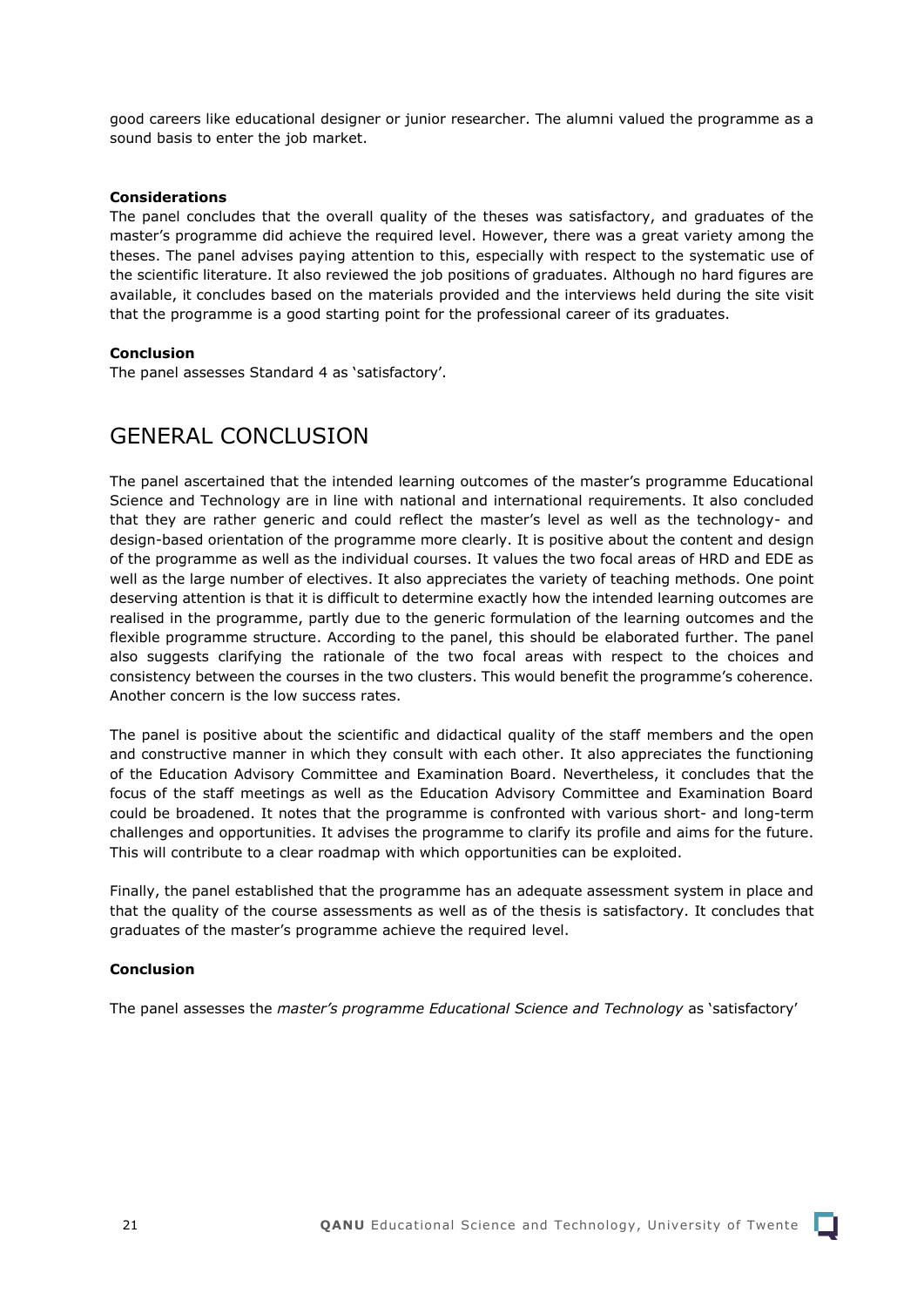good careers like educational designer or junior researcher. The alumni valued the programme as a sound basis to enter the job market.

#### **Considerations**

The panel concludes that the overall quality of the theses was satisfactory, and graduates of the master's programme did achieve the required level. However, there was a great variety among the theses. The panel advises paying attention to this, especially with respect to the systematic use of the scientific literature. It also reviewed the job positions of graduates. Although no hard figures are available, it concludes based on the materials provided and the interviews held during the site visit that the programme is a good starting point for the professional career of its graduates.

#### **Conclusion**

The panel assesses Standard 4 as 'satisfactory'.

### GENERAL CONCLUSION

The panel ascertained that the intended learning outcomes of the master's programme Educational Science and Technology are in line with national and international requirements. It also concluded that they are rather generic and could reflect the master's level as well as the technology- and design-based orientation of the programme more clearly. It is positive about the content and design of the programme as well as the individual courses. It values the two focal areas of HRD and EDE as well as the large number of electives. It also appreciates the variety of teaching methods. One point deserving attention is that it is difficult to determine exactly how the intended learning outcomes are realised in the programme, partly due to the generic formulation of the learning outcomes and the flexible programme structure. According to the panel, this should be elaborated further. The panel also suggests clarifying the rationale of the two focal areas with respect to the choices and consistency between the courses in the two clusters. This would benefit the programme's coherence. Another concern is the low success rates.

The panel is positive about the scientific and didactical quality of the staff members and the open and constructive manner in which they consult with each other. It also appreciates the functioning of the Education Advisory Committee and Examination Board. Nevertheless, it concludes that the focus of the staff meetings as well as the Education Advisory Committee and Examination Board could be broadened. It notes that the programme is confronted with various short- and long-term challenges and opportunities. It advises the programme to clarify its profile and aims for the future. This will contribute to a clear roadmap with which opportunities can be exploited.

Finally, the panel established that the programme has an adequate assessment system in place and that the quality of the course assessments as well as of the thesis is satisfactory. It concludes that graduates of the master's programme achieve the required level.

#### **Conclusion**

The panel assesses the *master's programme Educational Science and Technology* as 'satisfactory'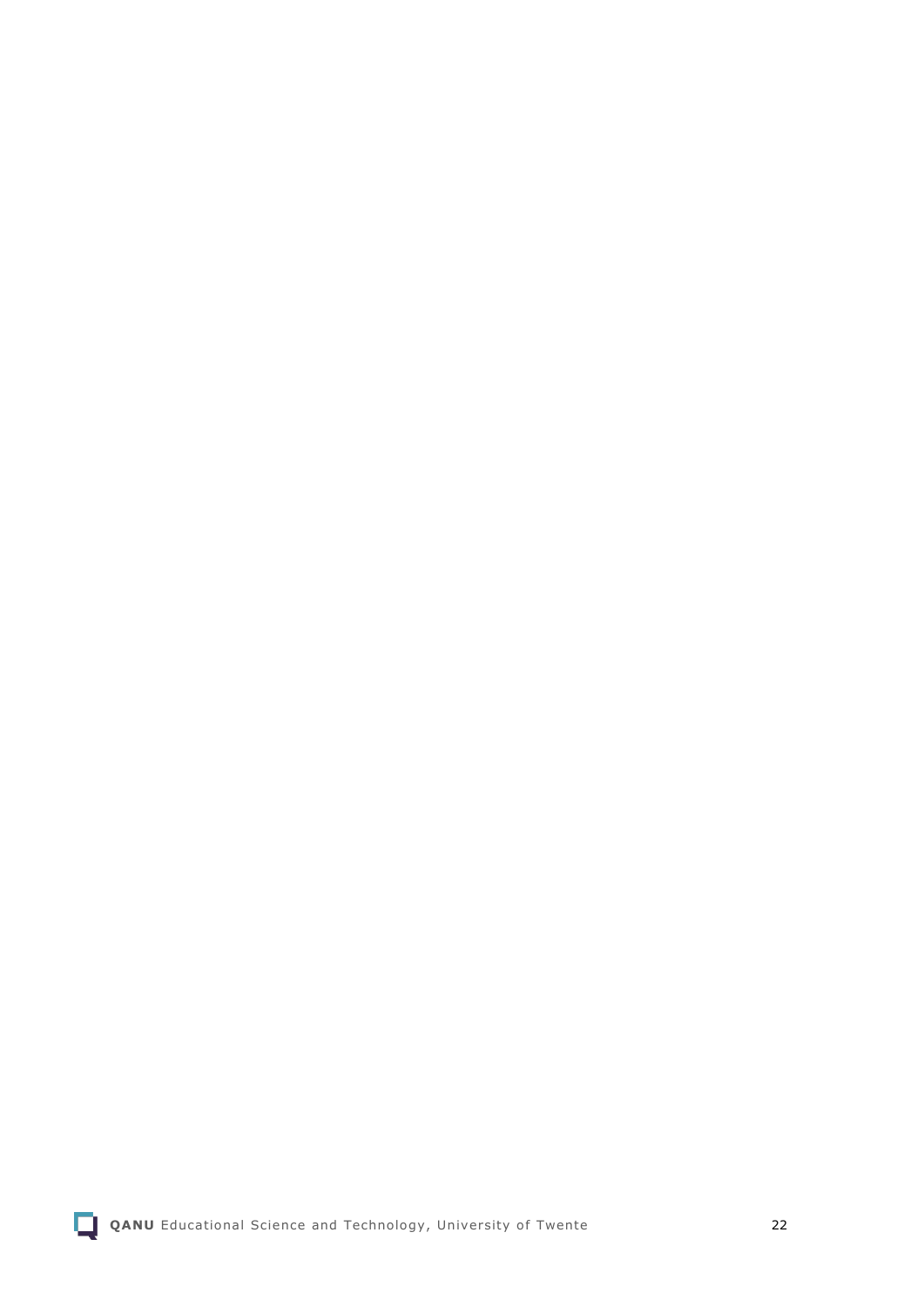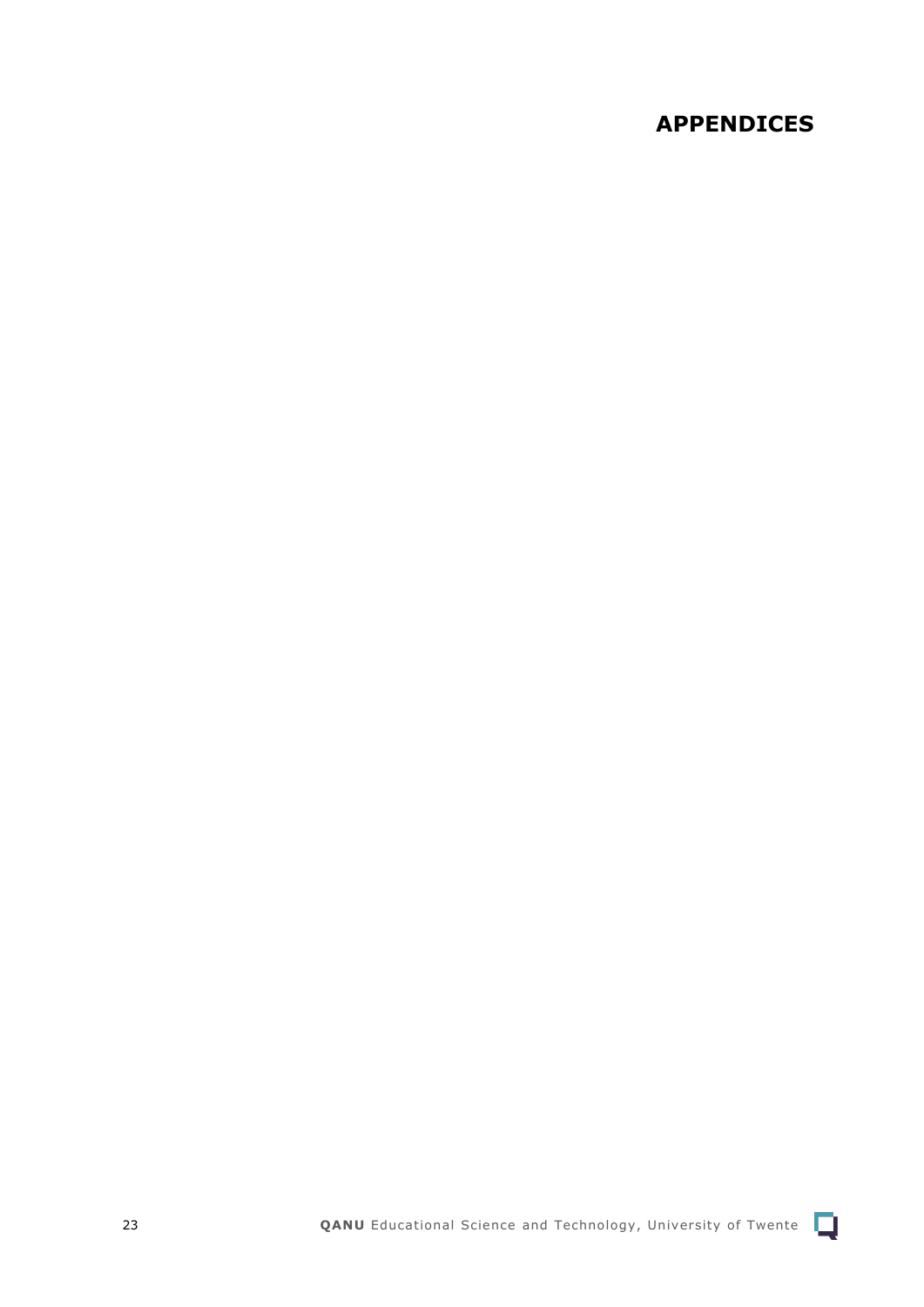### <span id="page-22-0"></span>**APPENDICES**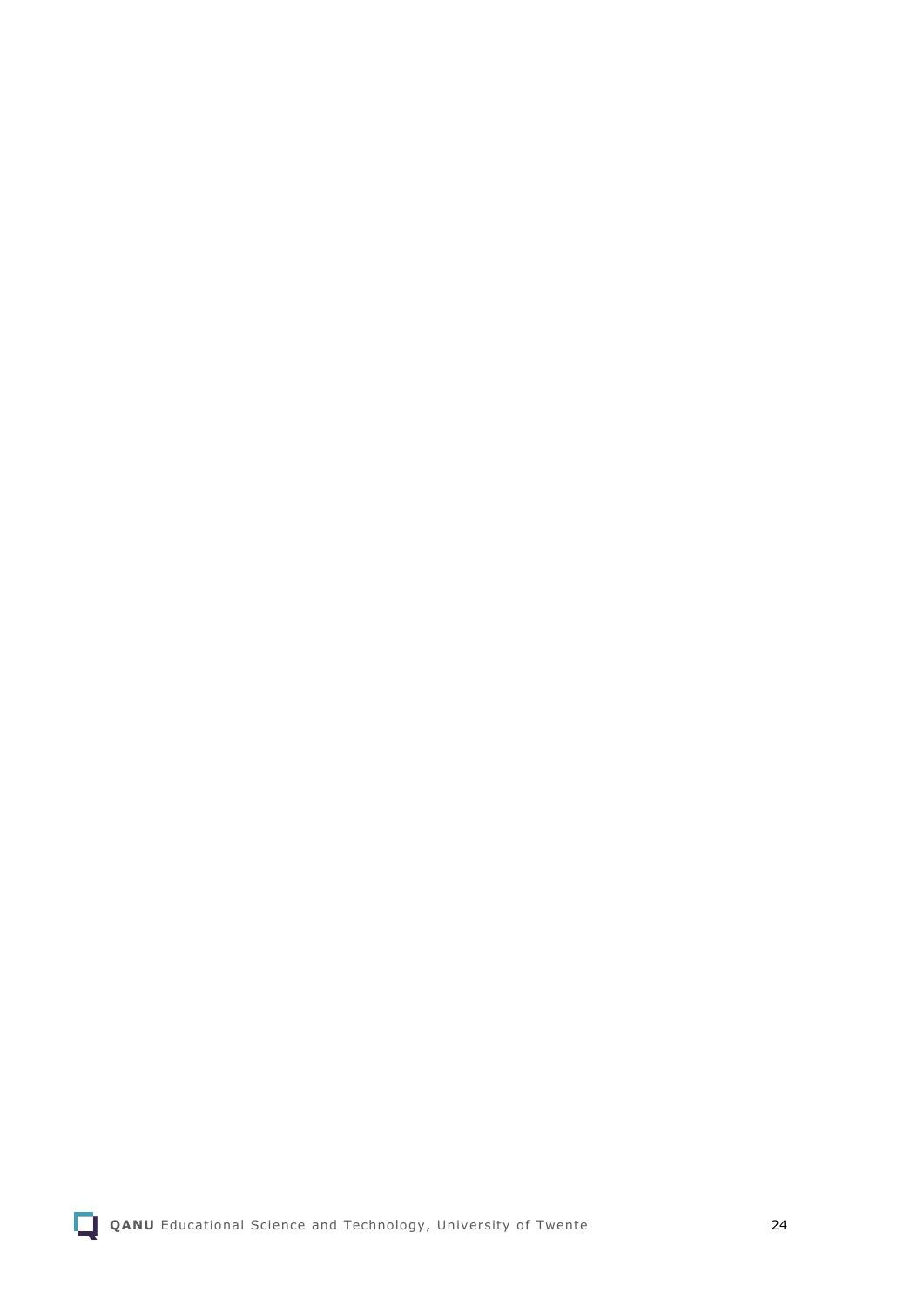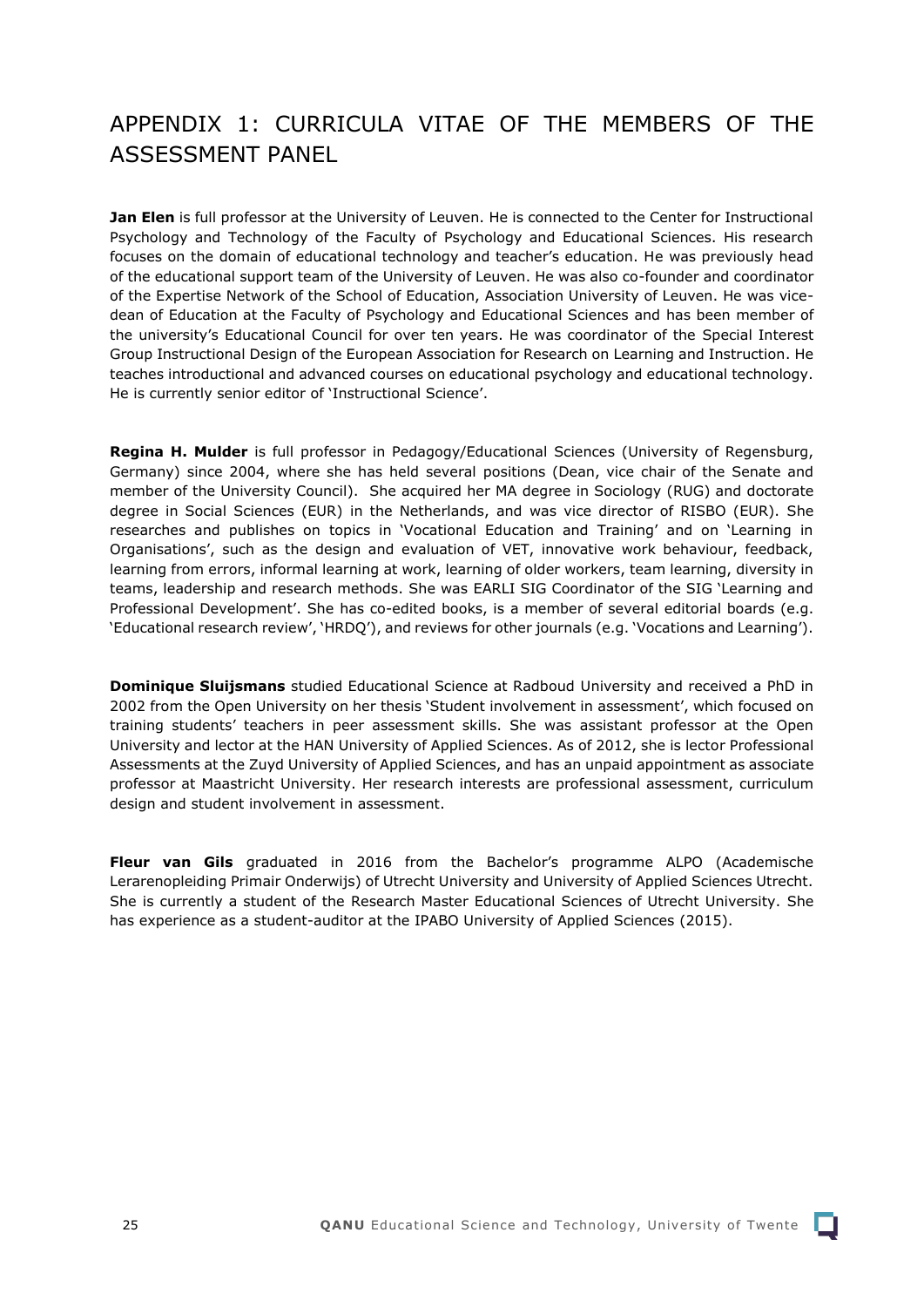## <span id="page-24-0"></span>APPENDIX 1: CURRICULA VITAE OF THE MEMBERS OF THE ASSESSMENT PANEL

**Jan Elen** is full professor at the University of Leuven. He is connected to the Center for Instructional Psychology and Technology of the Faculty of Psychology and Educational Sciences. His research focuses on the domain of educational technology and teacher's education. He was previously head of the educational support team of the University of Leuven. He was also co-founder and coordinator of the Expertise Network of the School of Education, Association University of Leuven. He was vicedean of Education at the Faculty of Psychology and Educational Sciences and has been member of the university's Educational Council for over ten years. He was coordinator of the Special Interest Group Instructional Design of the European Association for Research on Learning and Instruction. He teaches introductional and advanced courses on educational psychology and educational technology. He is currently senior editor of 'Instructional Science'.

**Regina H. Mulder** is full professor in Pedagogy/Educational Sciences (University of Regensburg, Germany) since 2004, where she has held several positions (Dean, vice chair of the Senate and member of the University Council). She acquired her MA degree in Sociology (RUG) and doctorate degree in Social Sciences (EUR) in the Netherlands, and was vice director of RISBO (EUR). She researches and publishes on topics in 'Vocational Education and Training' and on 'Learning in Organisations', such as the design and evaluation of VET, innovative work behaviour, feedback, learning from errors, informal learning at work, learning of older workers, team learning, diversity in teams, leadership and research methods. She was EARLI SIG Coordinator of the SIG 'Learning and Professional Development'. She has co-edited books, is a member of several editorial boards (e.g. 'Educational research review', 'HRDQ'), and reviews for other journals (e.g. 'Vocations and Learning').

**Dominique Sluijsmans** studied Educational Science at Radboud University and received a PhD in 2002 from the Open University on her thesis 'Student involvement in assessment', which focused on training students' teachers in peer assessment skills. She was assistant professor at the Open University and lector at the HAN University of Applied Sciences. As of 2012, she is lector Professional Assessments at the Zuyd University of Applied Sciences, and has an unpaid appointment as associate professor at Maastricht University. Her research interests are professional assessment, curriculum design and student involvement in assessment.

**Fleur van Gils** graduated in 2016 from the Bachelor's programme ALPO (Academische Lerarenopleiding Primair Onderwijs) of Utrecht University and University of Applied Sciences Utrecht. She is currently a student of the Research Master Educational Sciences of Utrecht University. She has experience as a student-auditor at the IPABO University of Applied Sciences (2015).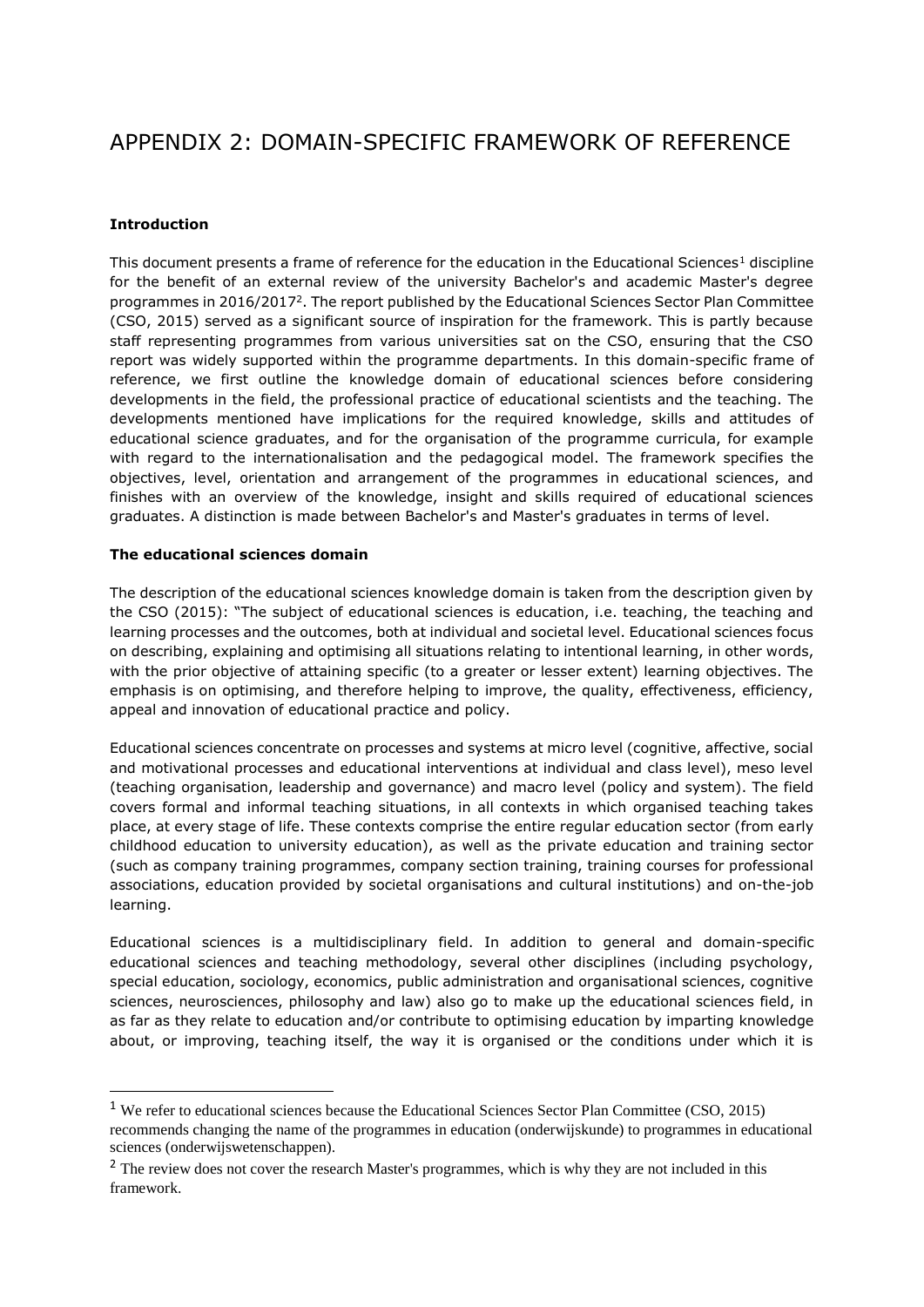### <span id="page-25-0"></span>APPENDIX 2: DOMAIN-SPECIFIC FRAMEWORK OF REFERENCE

#### **Introduction**

-

This document presents a frame of reference for the education in the Educational Sciences<sup>1</sup> discipline for the benefit of an external review of the university Bachelor's and academic Master's degree programmes in 2016/2017<sup>2</sup>. The report published by the Educational Sciences Sector Plan Committee (CSO, 2015) served as a significant source of inspiration for the framework. This is partly because staff representing programmes from various universities sat on the CSO, ensuring that the CSO report was widely supported within the programme departments. In this domain-specific frame of reference, we first outline the knowledge domain of educational sciences before considering developments in the field, the professional practice of educational scientists and the teaching. The developments mentioned have implications for the required knowledge, skills and attitudes of educational science graduates, and for the organisation of the programme curricula, for example with regard to the internationalisation and the pedagogical model. The framework specifies the objectives, level, orientation and arrangement of the programmes in educational sciences, and finishes with an overview of the knowledge, insight and skills required of educational sciences graduates. A distinction is made between Bachelor's and Master's graduates in terms of level.

#### **The educational sciences domain**

The description of the educational sciences knowledge domain is taken from the description given by the CSO (2015): "The subject of educational sciences is education, i.e. teaching, the teaching and learning processes and the outcomes, both at individual and societal level. Educational sciences focus on describing, explaining and optimising all situations relating to intentional learning, in other words, with the prior objective of attaining specific (to a greater or lesser extent) learning objectives. The emphasis is on optimising, and therefore helping to improve, the quality, effectiveness, efficiency, appeal and innovation of educational practice and policy.

Educational sciences concentrate on processes and systems at micro level (cognitive, affective, social and motivational processes and educational interventions at individual and class level), meso level (teaching organisation, leadership and governance) and macro level (policy and system). The field covers formal and informal teaching situations, in all contexts in which organised teaching takes place, at every stage of life. These contexts comprise the entire regular education sector (from early childhood education to university education), as well as the private education and training sector (such as company training programmes, company section training, training courses for professional associations, education provided by societal organisations and cultural institutions) and on-the-job learning.

Educational sciences is a multidisciplinary field. In addition to general and domain-specific educational sciences and teaching methodology, several other disciplines (including psychology, special education, sociology, economics, public administration and organisational sciences, cognitive sciences, neurosciences, philosophy and law) also go to make up the educational sciences field, in as far as they relate to education and/or contribute to optimising education by imparting knowledge about, or improving, teaching itself, the way it is organised or the conditions under which it is

<sup>&</sup>lt;sup>1</sup> We refer to educational sciences because the Educational Sciences Sector Plan Committee (CSO, 2015) recommends changing the name of the programmes in education (onderwijskunde) to programmes in educational sciences (onderwijswetenschappen).

<sup>&</sup>lt;sup>2</sup> The review does not cover the research Master's programmes, which is why they are not included in this framework.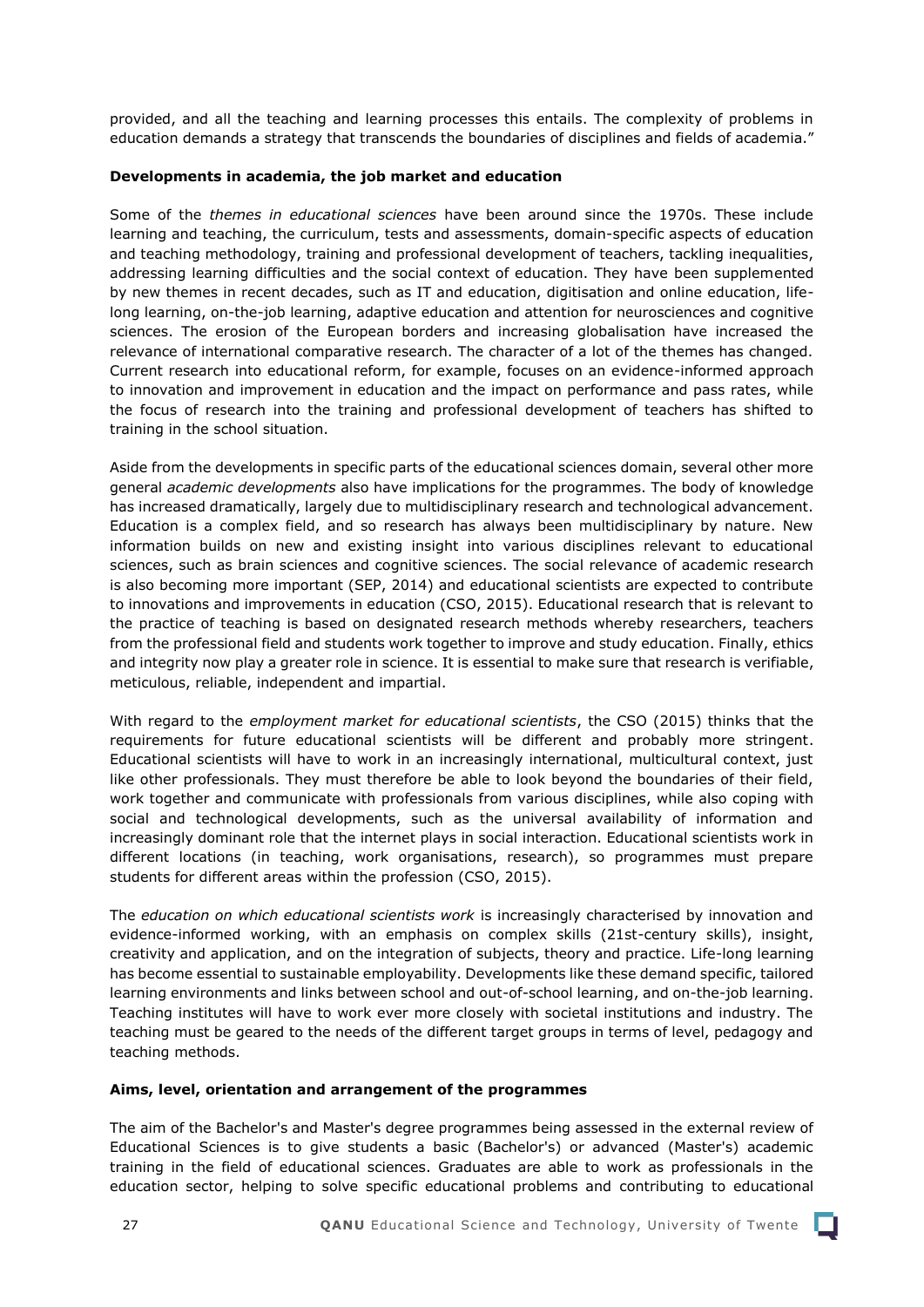provided, and all the teaching and learning processes this entails. The complexity of problems in education demands a strategy that transcends the boundaries of disciplines and fields of academia."

#### **Developments in academia, the job market and education**

Some of the *themes in educational sciences* have been around since the 1970s. These include learning and teaching, the curriculum, tests and assessments, domain-specific aspects of education and teaching methodology, training and professional development of teachers, tackling inequalities, addressing learning difficulties and the social context of education. They have been supplemented by new themes in recent decades, such as IT and education, digitisation and online education, lifelong learning, on-the-job learning, adaptive education and attention for neurosciences and cognitive sciences. The erosion of the European borders and increasing globalisation have increased the relevance of international comparative research. The character of a lot of the themes has changed. Current research into educational reform, for example, focuses on an evidence-informed approach to innovation and improvement in education and the impact on performance and pass rates, while the focus of research into the training and professional development of teachers has shifted to training in the school situation.

Aside from the developments in specific parts of the educational sciences domain, several other more general *academic developments* also have implications for the programmes. The body of knowledge has increased dramatically, largely due to multidisciplinary research and technological advancement. Education is a complex field, and so research has always been multidisciplinary by nature. New information builds on new and existing insight into various disciplines relevant to educational sciences, such as brain sciences and cognitive sciences. The social relevance of academic research is also becoming more important (SEP, 2014) and educational scientists are expected to contribute to innovations and improvements in education (CSO, 2015). Educational research that is relevant to the practice of teaching is based on designated research methods whereby researchers, teachers from the professional field and students work together to improve and study education. Finally, ethics and integrity now play a greater role in science. It is essential to make sure that research is verifiable, meticulous, reliable, independent and impartial.

With regard to the *employment market for educational scientists*, the CSO (2015) thinks that the requirements for future educational scientists will be different and probably more stringent. Educational scientists will have to work in an increasingly international, multicultural context, just like other professionals. They must therefore be able to look beyond the boundaries of their field, work together and communicate with professionals from various disciplines, while also coping with social and technological developments, such as the universal availability of information and increasingly dominant role that the internet plays in social interaction. Educational scientists work in different locations (in teaching, work organisations, research), so programmes must prepare students for different areas within the profession (CSO, 2015).

The *education on which educational scientists work* is increasingly characterised by innovation and evidence-informed working, with an emphasis on complex skills (21st-century skills), insight, creativity and application, and on the integration of subjects, theory and practice. Life-long learning has become essential to sustainable employability. Developments like these demand specific, tailored learning environments and links between school and out-of-school learning, and on-the-job learning. Teaching institutes will have to work ever more closely with societal institutions and industry. The teaching must be geared to the needs of the different target groups in terms of level, pedagogy and teaching methods.

#### **Aims, level, orientation and arrangement of the programmes**

The aim of the Bachelor's and Master's degree programmes being assessed in the external review of Educational Sciences is to give students a basic (Bachelor's) or advanced (Master's) academic training in the field of educational sciences. Graduates are able to work as professionals in the education sector, helping to solve specific educational problems and contributing to educational

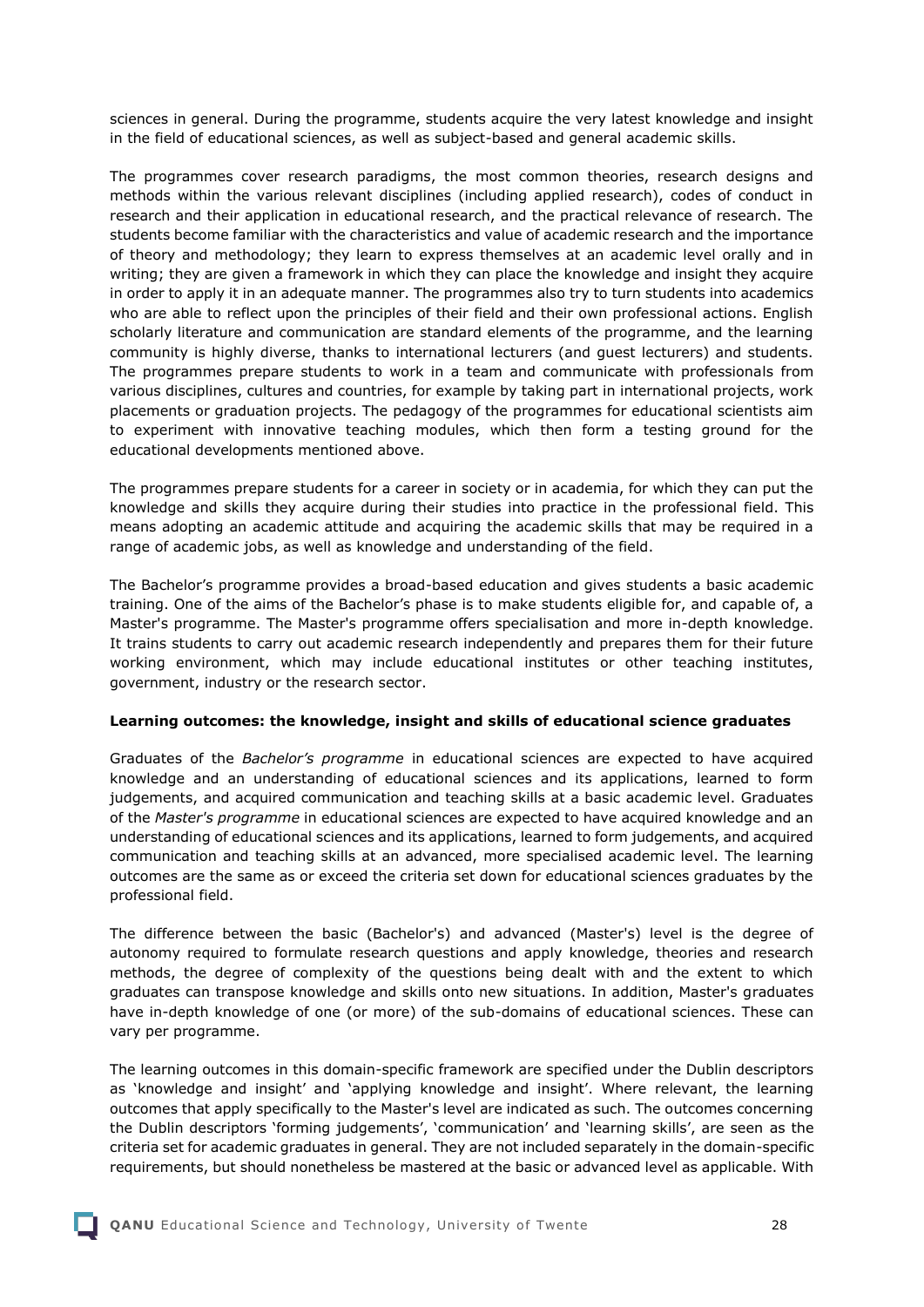sciences in general. During the programme, students acquire the very latest knowledge and insight in the field of educational sciences, as well as subject-based and general academic skills.

The programmes cover research paradigms, the most common theories, research designs and methods within the various relevant disciplines (including applied research), codes of conduct in research and their application in educational research, and the practical relevance of research. The students become familiar with the characteristics and value of academic research and the importance of theory and methodology; they learn to express themselves at an academic level orally and in writing; they are given a framework in which they can place the knowledge and insight they acquire in order to apply it in an adequate manner. The programmes also try to turn students into academics who are able to reflect upon the principles of their field and their own professional actions. English scholarly literature and communication are standard elements of the programme, and the learning community is highly diverse, thanks to international lecturers (and guest lecturers) and students. The programmes prepare students to work in a team and communicate with professionals from various disciplines, cultures and countries, for example by taking part in international projects, work placements or graduation projects. The pedagogy of the programmes for educational scientists aim to experiment with innovative teaching modules, which then form a testing ground for the educational developments mentioned above.

The programmes prepare students for a career in society or in academia, for which they can put the knowledge and skills they acquire during their studies into practice in the professional field. This means adopting an academic attitude and acquiring the academic skills that may be required in a range of academic jobs, as well as knowledge and understanding of the field.

The Bachelor's programme provides a broad-based education and gives students a basic academic training. One of the aims of the Bachelor's phase is to make students eligible for, and capable of, a Master's programme. The Master's programme offers specialisation and more in-depth knowledge. It trains students to carry out academic research independently and prepares them for their future working environment, which may include educational institutes or other teaching institutes, government, industry or the research sector.

#### **Learning outcomes: the knowledge, insight and skills of educational science graduates**

Graduates of the *Bachelor's programme* in educational sciences are expected to have acquired knowledge and an understanding of educational sciences and its applications, learned to form judgements, and acquired communication and teaching skills at a basic academic level. Graduates of the *Master's programme* in educational sciences are expected to have acquired knowledge and an understanding of educational sciences and its applications, learned to form judgements, and acquired communication and teaching skills at an advanced, more specialised academic level. The learning outcomes are the same as or exceed the criteria set down for educational sciences graduates by the professional field.

The difference between the basic (Bachelor's) and advanced (Master's) level is the degree of autonomy required to formulate research questions and apply knowledge, theories and research methods, the degree of complexity of the questions being dealt with and the extent to which graduates can transpose knowledge and skills onto new situations. In addition, Master's graduates have in-depth knowledge of one (or more) of the sub-domains of educational sciences. These can vary per programme.

The learning outcomes in this domain-specific framework are specified under the Dublin descriptors as 'knowledge and insight' and 'applying knowledge and insight'. Where relevant, the learning outcomes that apply specifically to the Master's level are indicated as such. The outcomes concerning the Dublin descriptors 'forming judgements', 'communication' and 'learning skills', are seen as the criteria set for academic graduates in general. They are not included separately in the domain-specific requirements, but should nonetheless be mastered at the basic or advanced level as applicable. With

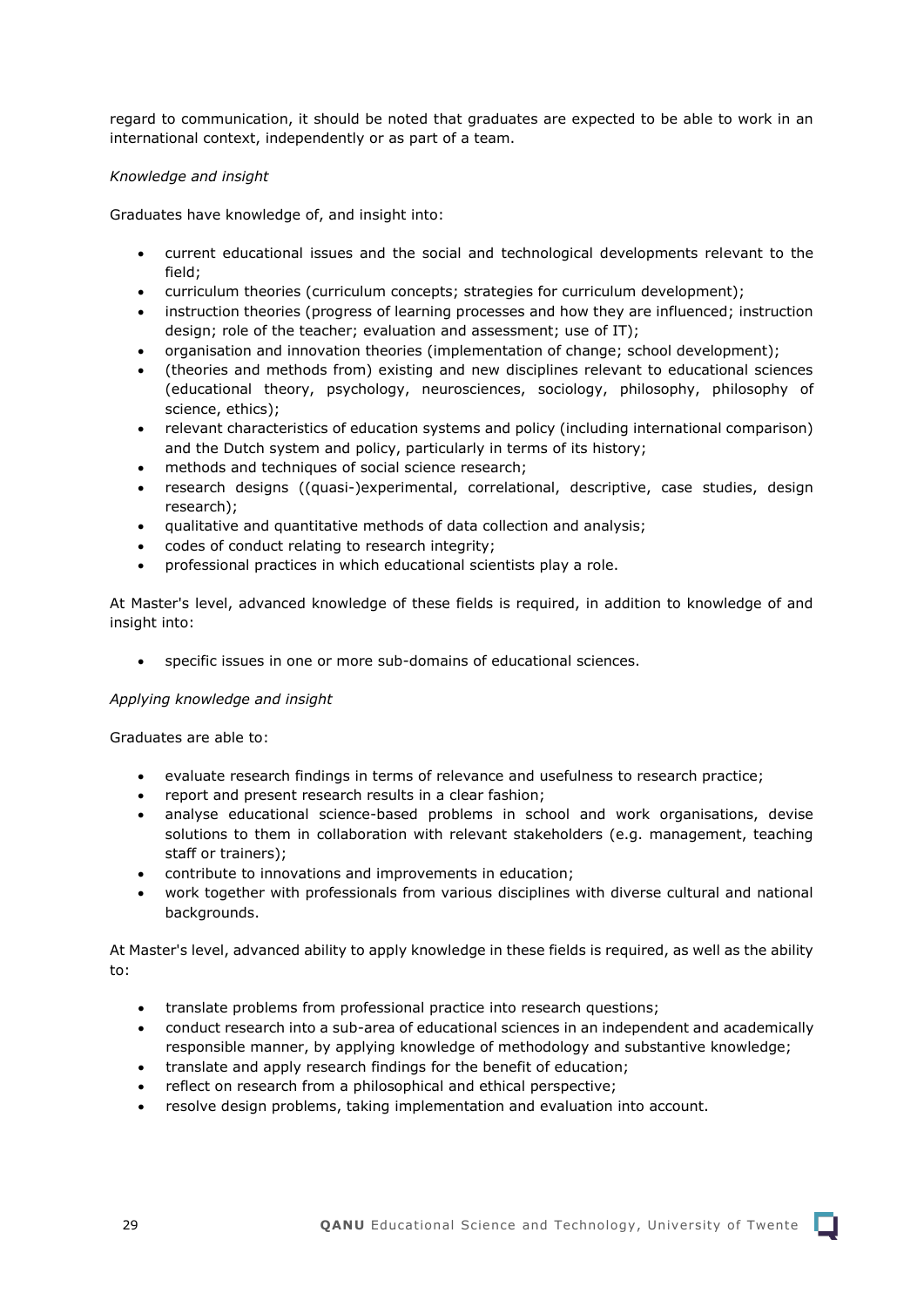regard to communication, it should be noted that graduates are expected to be able to work in an international context, independently or as part of a team.

#### *Knowledge and insight*

Graduates have knowledge of, and insight into:

- current educational issues and the social and technological developments relevant to the field;
- curriculum theories (curriculum concepts; strategies for curriculum development);
- instruction theories (progress of learning processes and how they are influenced; instruction design; role of the teacher; evaluation and assessment; use of IT);
- organisation and innovation theories (implementation of change; school development);
- (theories and methods from) existing and new disciplines relevant to educational sciences (educational theory, psychology, neurosciences, sociology, philosophy, philosophy of science, ethics);
- relevant characteristics of education systems and policy (including international comparison) and the Dutch system and policy, particularly in terms of its history;
- methods and techniques of social science research;
- research designs ((quasi-)experimental, correlational, descriptive, case studies, design research);
- qualitative and quantitative methods of data collection and analysis;
- codes of conduct relating to research integrity;
- professional practices in which educational scientists play a role.

At Master's level, advanced knowledge of these fields is required, in addition to knowledge of and insight into:

specific issues in one or more sub-domains of educational sciences.

#### *Applying knowledge and insight*

Graduates are able to:

- evaluate research findings in terms of relevance and usefulness to research practice;
- report and present research results in a clear fashion;
- analyse educational science-based problems in school and work organisations, devise solutions to them in collaboration with relevant stakeholders (e.g. management, teaching staff or trainers);
- contribute to innovations and improvements in education;
- work together with professionals from various disciplines with diverse cultural and national backgrounds.

At Master's level, advanced ability to apply knowledge in these fields is required, as well as the ability to:

- translate problems from professional practice into research questions;
- conduct research into a sub-area of educational sciences in an independent and academically responsible manner, by applying knowledge of methodology and substantive knowledge;
- translate and apply research findings for the benefit of education;
- reflect on research from a philosophical and ethical perspective;
- resolve design problems, taking implementation and evaluation into account.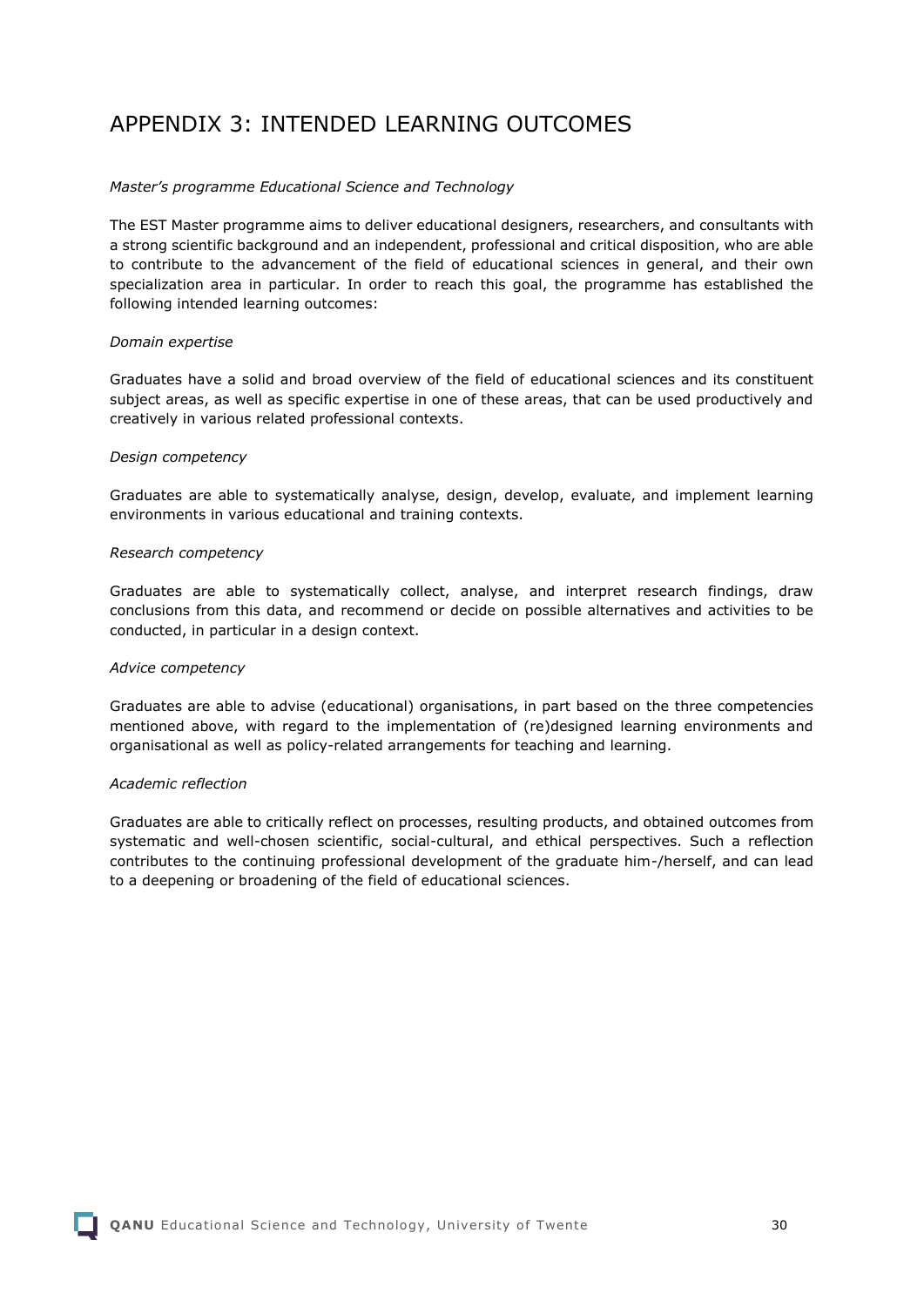### <span id="page-29-0"></span>APPENDIX 3: INTENDED LEARNING OUTCOMES

#### *Master's programme Educational Science and Technology*

The EST Master programme aims to deliver educational designers, researchers, and consultants with a strong scientific background and an independent, professional and critical disposition, who are able to contribute to the advancement of the field of educational sciences in general, and their own specialization area in particular. In order to reach this goal, the programme has established the following intended learning outcomes:

#### *Domain expertise*

Graduates have a solid and broad overview of the field of educational sciences and its constituent subject areas, as well as specific expertise in one of these areas, that can be used productively and creatively in various related professional contexts.

#### *Design competency*

Graduates are able to systematically analyse, design, develop, evaluate, and implement learning environments in various educational and training contexts.

#### *Research competency*

Graduates are able to systematically collect, analyse, and interpret research findings, draw conclusions from this data, and recommend or decide on possible alternatives and activities to be conducted, in particular in a design context.

#### *Advice competency*

Graduates are able to advise (educational) organisations, in part based on the three competencies mentioned above, with regard to the implementation of (re)designed learning environments and organisational as well as policy-related arrangements for teaching and learning.

#### *Academic reflection*

Graduates are able to critically reflect on processes, resulting products, and obtained outcomes from systematic and well-chosen scientific, social-cultural, and ethical perspectives. Such a reflection contributes to the continuing professional development of the graduate him-/herself, and can lead to a deepening or broadening of the field of educational sciences.

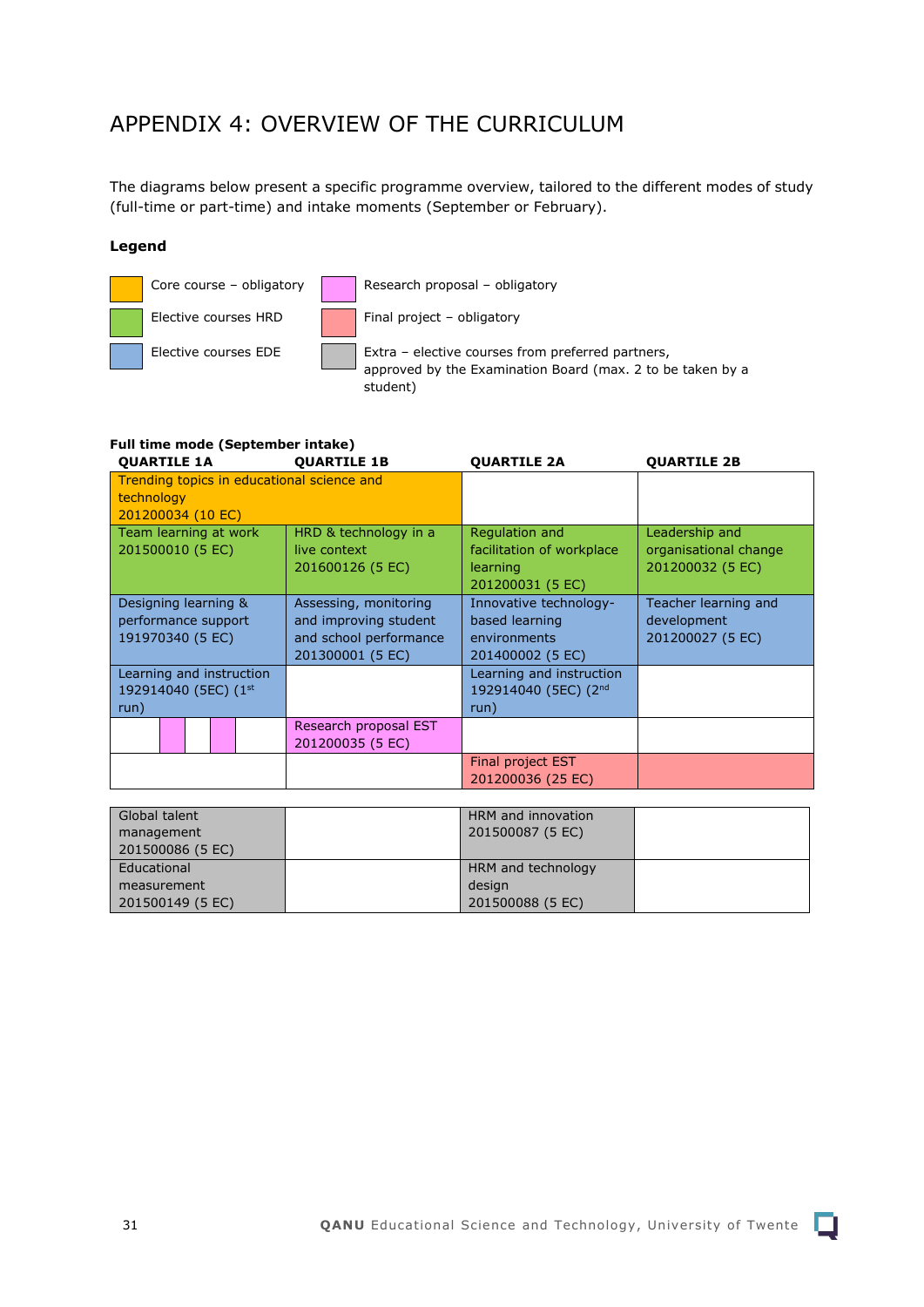# <span id="page-30-0"></span>APPENDIX 4: OVERVIEW OF THE CURRICULUM

The diagrams below present a specific programme overview, tailored to the different modes of study (full-time or part-time) and intake moments (September or February).

#### **Legend**



Elective courses EDE  $\Box$  Extra – elective courses from preferred partners, approved by the Examination Board (max. 2 to be taken by a student)

#### **Full time mode (September intake)**

| <b>QUARTILE 1A</b>                                                            | <b>QUARTILE 1B</b>                                                                           | <b>QUARTILE 2A</b>                                                           | <b>QUARTILE 2B</b>                                          |
|-------------------------------------------------------------------------------|----------------------------------------------------------------------------------------------|------------------------------------------------------------------------------|-------------------------------------------------------------|
| Trending topics in educational science and<br>technology<br>201200034 (10 EC) |                                                                                              |                                                                              |                                                             |
| Team learning at work<br>201500010 (5 EC)                                     | HRD & technology in a<br>live context<br>201600126 (5 EC)                                    | Regulation and<br>facilitation of workplace<br>learning<br>201200031 (5 EC)  | Leadership and<br>organisational change<br>201200032 (5 EC) |
| Designing learning &<br>performance support<br>191970340 (5 EC)               | Assessing, monitoring<br>and improving student<br>and school performance<br>201300001 (5 EC) | Innovative technology-<br>based learning<br>environments<br>201400002 (5 EC) | Teacher learning and<br>development<br>201200027 (5 EC)     |
| Learning and instruction<br>192914040 (5EC) (1st)<br>run)                     |                                                                                              | Learning and instruction<br>192914040 (5EC) (2nd<br>run)                     |                                                             |
|                                                                               | Research proposal EST<br>201200035 (5 EC)                                                    |                                                                              |                                                             |
|                                                                               |                                                                                              | Final project EST<br>201200036 (25 EC)                                       |                                                             |

| Global talent    | HRM and innovation |  |
|------------------|--------------------|--|
| management       | 201500087 (5 EC)   |  |
| 201500086 (5 EC) |                    |  |
| Educational      | HRM and technology |  |
| measurement      | design             |  |
| 201500149 (5 EC) | 201500088 (5 EC)   |  |

T.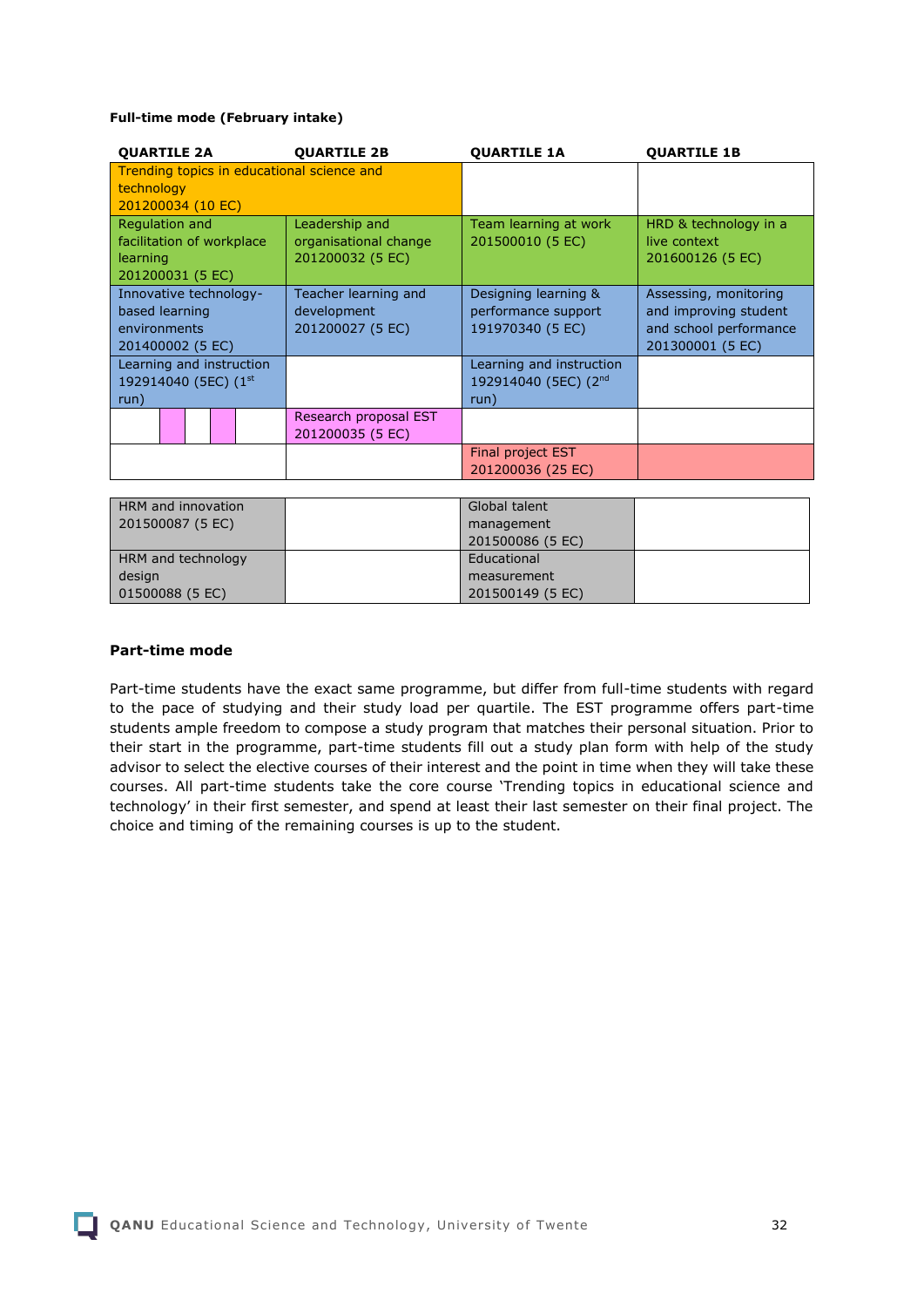#### **Full-time mode (February intake)**

| <b>QUARTILE 2A</b>                         | <b>QUARTILE 2B</b>    | <b>QUARTILE 1A</b>       | <b>QUARTILE 1B</b>     |
|--------------------------------------------|-----------------------|--------------------------|------------------------|
| Trending topics in educational science and |                       |                          |                        |
| technology                                 |                       |                          |                        |
| 201200034 (10 EC)                          |                       |                          |                        |
| Regulation and                             | Leadership and        | Team learning at work    | HRD & technology in a  |
| facilitation of workplace                  | organisational change | 201500010 (5 EC)         | live context           |
| learning                                   | 201200032 (5 EC)      |                          | 201600126 (5 EC)       |
| 201200031 (5 EC)                           |                       |                          |                        |
| Innovative technology-                     | Teacher learning and  | Designing learning &     | Assessing, monitoring  |
| based learning                             | development           | performance support      | and improving student  |
| environments                               | 201200027 (5 EC)      | 191970340 (5 EC)         | and school performance |
| 201400002 (5 EC)                           |                       |                          | 201300001 (5 EC)       |
| Learning and instruction                   |                       | Learning and instruction |                        |
| 192914040 (5EC) (1st                       |                       | 192914040 (5EC) (2nd     |                        |
| run)                                       |                       | run)                     |                        |
|                                            | Research proposal EST |                          |                        |
|                                            | 201200035 (5 EC)      |                          |                        |
|                                            |                       | Final project EST        |                        |
|                                            |                       | 201200036 (25 EC)        |                        |

| HRM and innovation | Global talent    |  |
|--------------------|------------------|--|
| 201500087 (5 EC)   | management       |  |
|                    | 201500086 (5 EC) |  |
| HRM and technology | Educational      |  |
| design             | measurement      |  |
| 01500088 (5 EC)    | 201500149 (5 EC) |  |

#### **Part-time mode**

Part-time students have the exact same programme, but differ from full-time students with regard to the pace of studying and their study load per quartile. The EST programme offers part-time students ample freedom to compose a study program that matches their personal situation. Prior to their start in the programme, part-time students fill out a study plan form with help of the study advisor to select the elective courses of their interest and the point in time when they will take these courses. All part-time students take the core course 'Trending topics in educational science and technology' in their first semester, and spend at least their last semester on their final project. The choice and timing of the remaining courses is up to the student.

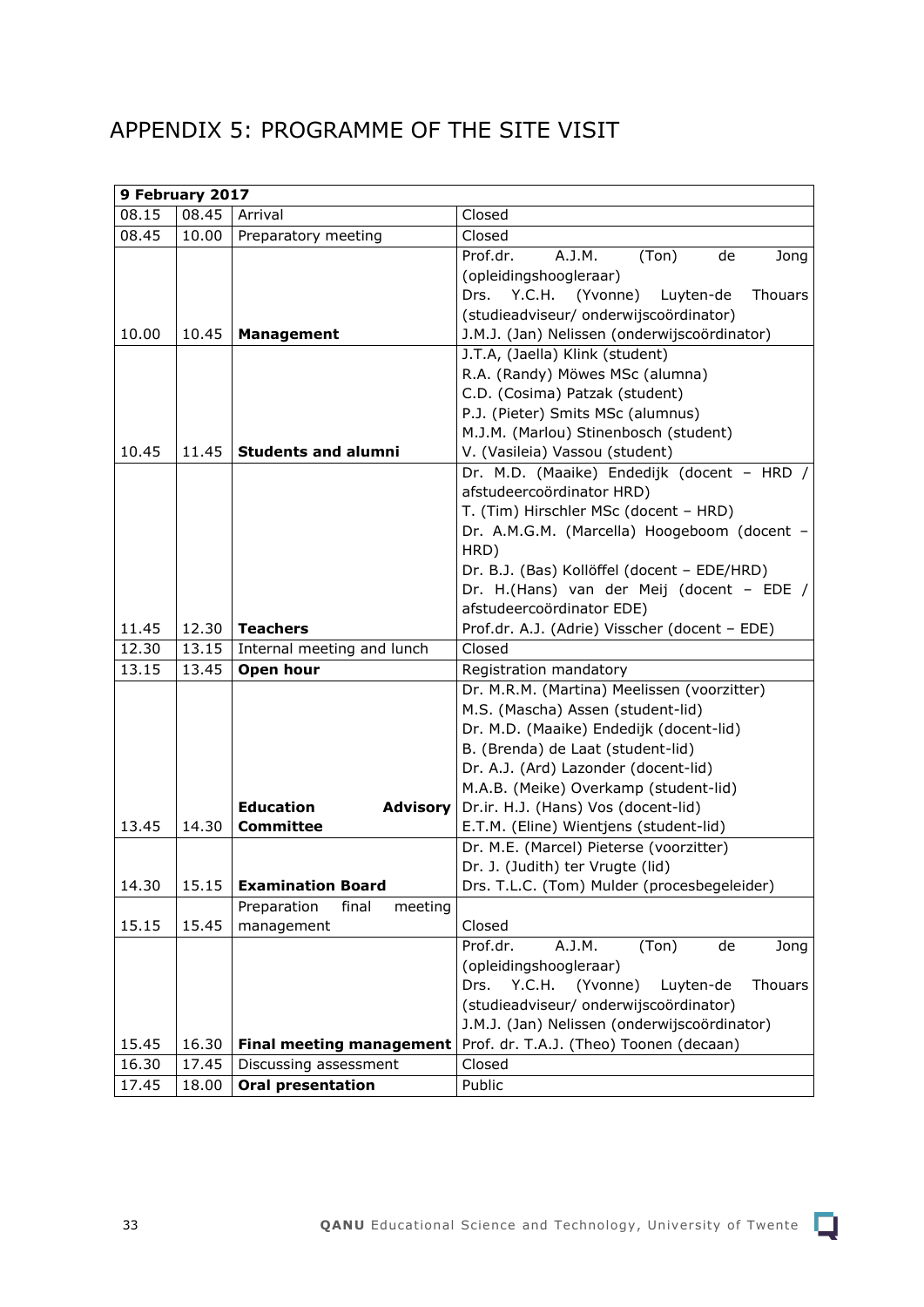# <span id="page-32-0"></span>APPENDIX 5: PROGRAMME OF THE SITE VISIT

|       | 9 February 2017 |                                     |                                                                                          |  |
|-------|-----------------|-------------------------------------|------------------------------------------------------------------------------------------|--|
| 08.15 | 08.45           | Arrival                             | Closed                                                                                   |  |
| 08.45 | 10.00           | Preparatory meeting                 | Closed                                                                                   |  |
|       |                 |                                     | A.J.M.<br>Prof.dr.<br>(Ton)<br>de<br>Jong                                                |  |
|       |                 |                                     | (opleidingshoogleraar)                                                                   |  |
|       |                 |                                     | Y.C.H.<br>Drs.<br>(Yvonne)<br>Luyten-de<br><b>Thouars</b>                                |  |
|       |                 |                                     | (studieadviseur/ onderwijscoördinator)                                                   |  |
| 10.00 | 10.45           | <b>Management</b>                   | J.M.J. (Jan) Nelissen (onderwijscoördinator)                                             |  |
|       |                 |                                     | J.T.A, (Jaella) Klink (student)                                                          |  |
|       |                 |                                     | R.A. (Randy) Möwes MSc (alumna)                                                          |  |
|       |                 |                                     | C.D. (Cosima) Patzak (student)                                                           |  |
|       |                 |                                     | P.J. (Pieter) Smits MSc (alumnus)                                                        |  |
|       |                 |                                     | M.J.M. (Marlou) Stinenbosch (student)                                                    |  |
| 10.45 | 11.45           | <b>Students and alumni</b>          | V. (Vasileia) Vassou (student)                                                           |  |
|       |                 |                                     | Dr. M.D. (Maaike) Endedijk (docent - HRD /                                               |  |
|       |                 |                                     | afstudeercoördinator HRD)                                                                |  |
|       |                 |                                     | T. (Tim) Hirschler MSc (docent - HRD)                                                    |  |
|       |                 |                                     | Dr. A.M.G.M. (Marcella) Hoogeboom (docent -                                              |  |
|       |                 |                                     | HRD)                                                                                     |  |
|       |                 |                                     | Dr. B.J. (Bas) Kollöffel (docent - EDE/HRD)<br>Dr. H.(Hans) van der Meij (docent - EDE / |  |
|       |                 |                                     |                                                                                          |  |
| 11.45 | 12.30           | <b>Teachers</b>                     | afstudeercoördinator EDE)<br>Prof.dr. A.J. (Adrie) Visscher (docent - EDE)               |  |
| 12.30 | 13.15           | Internal meeting and lunch          | Closed                                                                                   |  |
| 13.15 | 13.45           | Open hour                           |                                                                                          |  |
|       |                 |                                     | Registration mandatory<br>Dr. M.R.M. (Martina) Meelissen (voorzitter)                    |  |
|       |                 |                                     | M.S. (Mascha) Assen (student-lid)                                                        |  |
|       |                 |                                     | Dr. M.D. (Maaike) Endedijk (docent-lid)                                                  |  |
|       |                 |                                     | B. (Brenda) de Laat (student-lid)                                                        |  |
|       |                 |                                     | Dr. A.J. (Ard) Lazonder (docent-lid)                                                     |  |
|       |                 |                                     | M.A.B. (Meike) Overkamp (student-lid)                                                    |  |
|       |                 | <b>Education</b><br><b>Advisory</b> | Dr.ir. H.J. (Hans) Vos (docent-lid)                                                      |  |
| 13.45 | 14.30           | <b>Committee</b>                    | E.T.M. (Eline) Wientjens (student-lid)                                                   |  |
|       |                 |                                     | Dr. M.E. (Marcel) Pieterse (voorzitter)                                                  |  |
|       |                 |                                     | Dr. J. (Judith) ter Vrugte (lid)                                                         |  |
| 14.30 | 15.15           | <b>Examination Board</b>            | Drs. T.L.C. (Tom) Mulder (procesbegeleider)                                              |  |
|       |                 | Preparation<br>final<br>meeting     |                                                                                          |  |
| 15.15 | 15.45           | management                          | Closed                                                                                   |  |
|       |                 |                                     | Prof.dr.<br>A.J.M.<br>(Ton)<br>de<br>Jong                                                |  |
|       |                 |                                     | (opleidingshoogleraar)                                                                   |  |
|       |                 |                                     | Y.C.H.<br>(Yvonne)<br>Drs.<br>Luyten-de<br><b>Thouars</b>                                |  |
|       |                 |                                     | (studieadviseur/ onderwijscoördinator)                                                   |  |
|       |                 |                                     | J.M.J. (Jan) Nelissen (onderwijscoördinator)                                             |  |
| 15.45 | 16.30           | <b>Final meeting management</b>     | Prof. dr. T.A.J. (Theo) Toonen (decaan)                                                  |  |
| 16.30 | 17.45           | Discussing assessment               | Closed                                                                                   |  |
| 17.45 | 18.00           | <b>Oral presentation</b>            | Public                                                                                   |  |